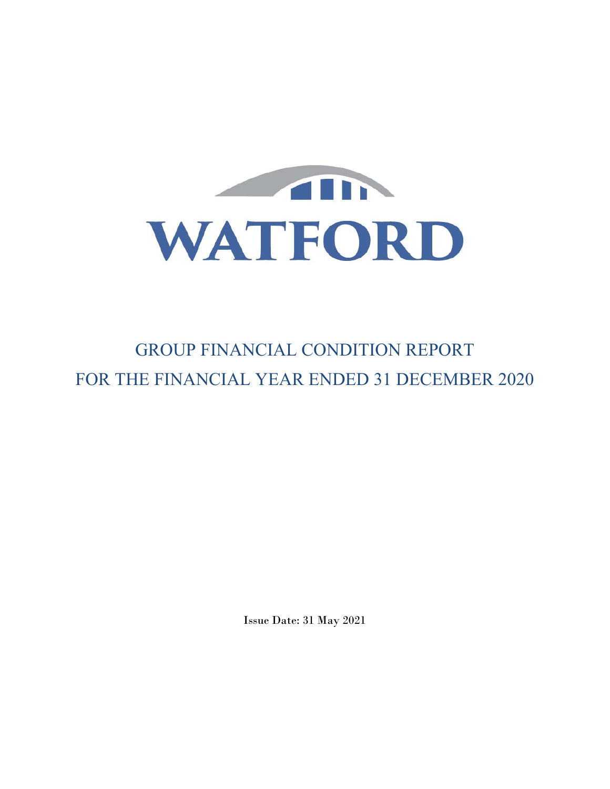

# GROUP FINANCIAL CONDITION REPORT FOR THE FINANCIAL YEAR ENDED 31 DECEMBER 2020

Issue Date: 31 May 2021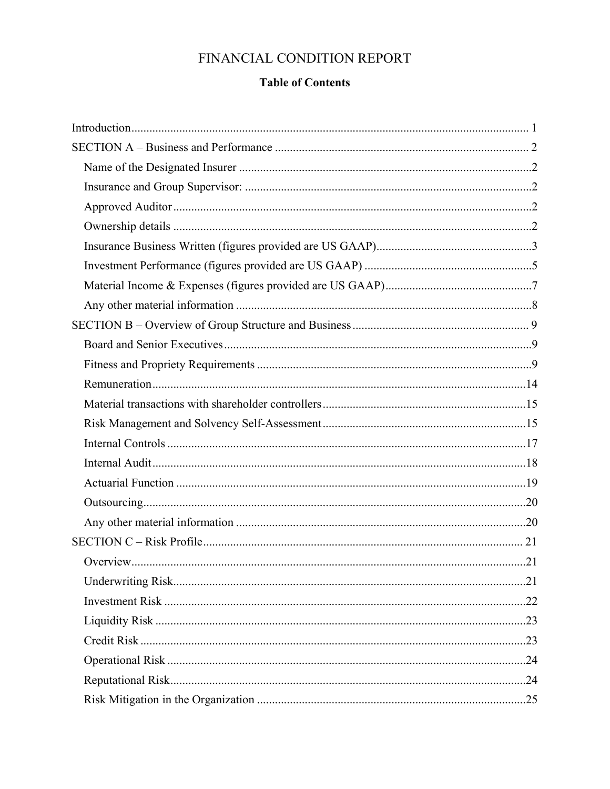## FINANCIAL CONDITION REPORT

## **Table of Contents**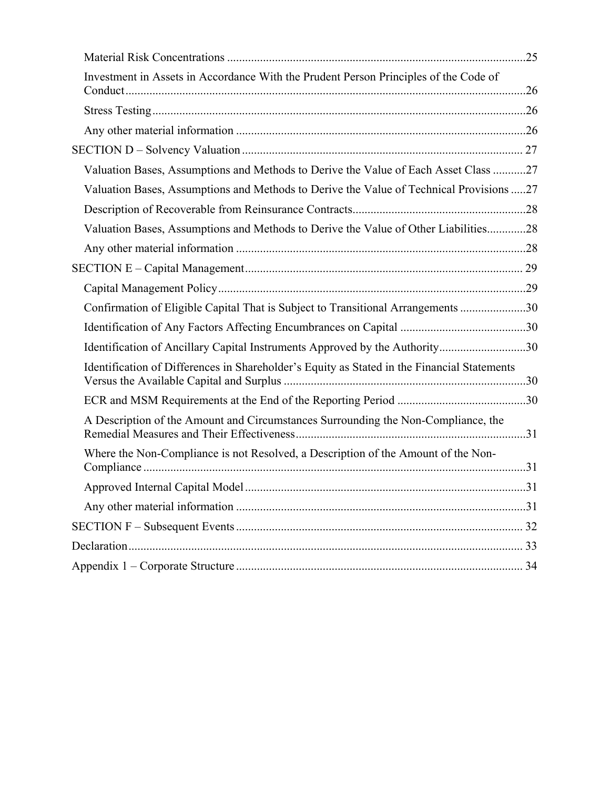| Investment in Assets in Accordance With the Prudent Person Principles of the Code of        |  |
|---------------------------------------------------------------------------------------------|--|
|                                                                                             |  |
|                                                                                             |  |
|                                                                                             |  |
| Valuation Bases, Assumptions and Methods to Derive the Value of Each Asset Class 27         |  |
| Valuation Bases, Assumptions and Methods to Derive the Value of Technical Provisions 27     |  |
|                                                                                             |  |
| Valuation Bases, Assumptions and Methods to Derive the Value of Other Liabilities28         |  |
|                                                                                             |  |
|                                                                                             |  |
|                                                                                             |  |
| Confirmation of Eligible Capital That is Subject to Transitional Arrangements 30            |  |
|                                                                                             |  |
| Identification of Ancillary Capital Instruments Approved by the Authority30                 |  |
| Identification of Differences in Shareholder's Equity as Stated in the Financial Statements |  |
|                                                                                             |  |
| A Description of the Amount and Circumstances Surrounding the Non-Compliance, the           |  |
| Where the Non-Compliance is not Resolved, a Description of the Amount of the Non-           |  |
|                                                                                             |  |
|                                                                                             |  |
|                                                                                             |  |
|                                                                                             |  |
|                                                                                             |  |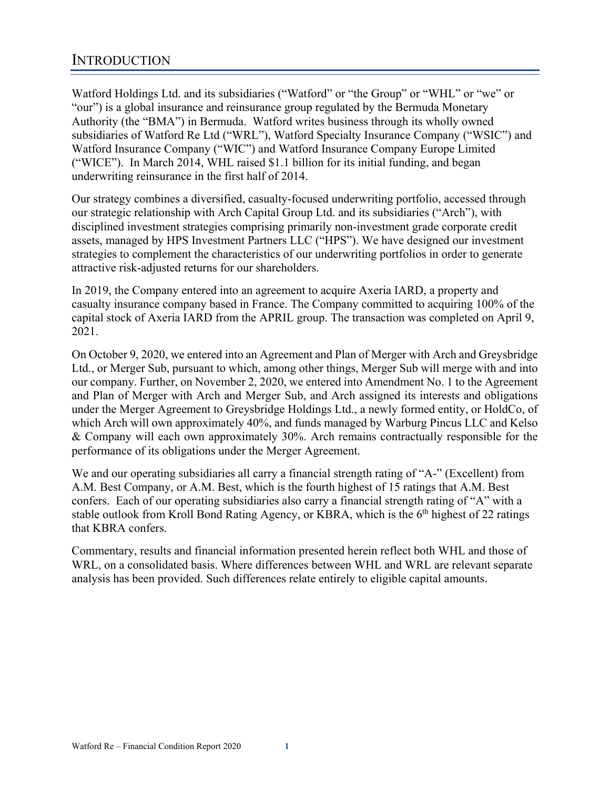Watford Holdings Ltd. and its subsidiaries ("Watford" or "the Group" or "WHL" or "we" or "our") is a global insurance and reinsurance group regulated by the Bermuda Monetary Authority (the "BMA") in Bermuda. Watford writes business through its wholly owned subsidiaries of Watford Re Ltd ("WRL"), Watford Specialty Insurance Company ("WSIC") and Watford Insurance Company ("WIC") and Watford Insurance Company Europe Limited ("WICE"). In March 2014, WHL raised \$1.1 billion for its initial funding, and began underwriting reinsurance in the first half of 2014.

Our strategy combines a diversified, casualty-focused underwriting portfolio, accessed through our strategic relationship with Arch Capital Group Ltd. and its subsidiaries ("Arch"), with disciplined investment strategies comprising primarily non-investment grade corporate credit assets, managed by HPS Investment Partners LLC ("HPS"). We have designed our investment strategies to complement the characteristics of our underwriting portfolios in order to generate attractive risk-adjusted returns for our shareholders.

In 2019, the Company entered into an agreement to acquire Axeria IARD, a property and casualty insurance company based in France. The Company committed to acquiring 100% of the capital stock of Axeria IARD from the APRIL group. The transaction was completed on April 9, 2021.

On October 9, 2020, we entered into an Agreement and Plan of Merger with Arch and Greysbridge Ltd., or Merger Sub, pursuant to which, among other things, Merger Sub will merge with and into our company. Further, on November 2, 2020, we entered into Amendment No. 1 to the Agreement and Plan of Merger with Arch and Merger Sub, and Arch assigned its interests and obligations under the Merger Agreement to Greysbridge Holdings Ltd., a newly formed entity, or HoldCo, of which Arch will own approximately 40%, and funds managed by Warburg Pincus LLC and Kelso & Company will each own approximately 30%. Arch remains contractually responsible for the performance of its obligations under the Merger Agreement.

We and our operating subsidiaries all carry a financial strength rating of "A-" (Excellent) from A.M. Best Company, or A.M. Best, which is the fourth highest of 15 ratings that A.M. Best confers. Each of our operating subsidiaries also carry a financial strength rating of "A" with a stable outlook from Kroll Bond Rating Agency, or KBRA, which is the  $6<sup>th</sup>$  highest of 22 ratings that KBRA confers.

Commentary, results and financial information presented herein reflect both WHL and those of WRL, on a consolidated basis. Where differences between WHL and WRL are relevant separate analysis has been provided. Such differences relate entirely to eligible capital amounts.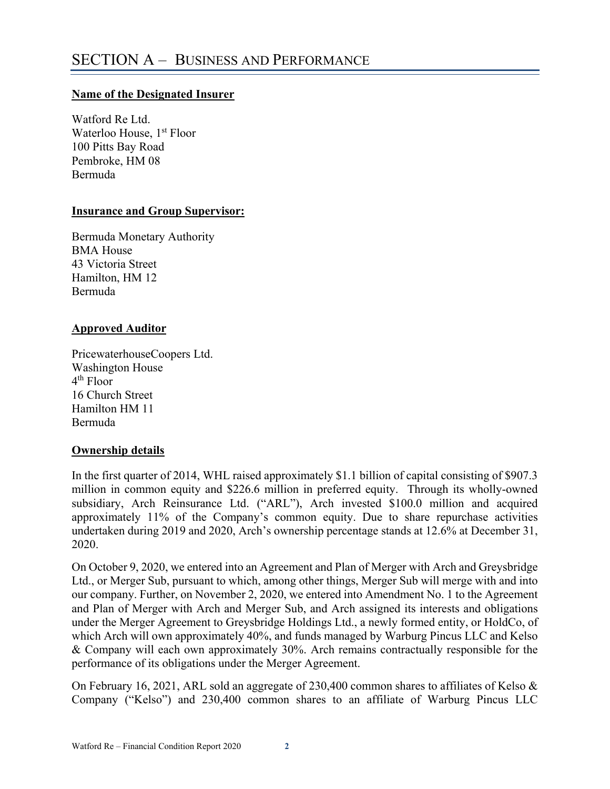## **Name of the Designated Insurer**

Watford Re Ltd. Waterloo House, 1<sup>st</sup> Floor 100 Pitts Bay Road Pembroke, HM 08 Bermuda

### **Insurance and Group Supervisor:**

Bermuda Monetary Authority BMA House 43 Victoria Street Hamilton, HM 12 Bermuda

## **Approved Auditor**

PricewaterhouseCoopers Ltd. Washington House 4th Floor 16 Church Street Hamilton HM 11 Bermuda

## **Ownership details**

In the first quarter of 2014, WHL raised approximately \$1.1 billion of capital consisting of \$907.3 million in common equity and \$226.6 million in preferred equity. Through its wholly-owned subsidiary, Arch Reinsurance Ltd. ("ARL"), Arch invested \$100.0 million and acquired approximately 11% of the Company's common equity. Due to share repurchase activities undertaken during 2019 and 2020, Arch's ownership percentage stands at 12.6% at December 31, 2020.

On October 9, 2020, we entered into an Agreement and Plan of Merger with Arch and Greysbridge Ltd., or Merger Sub, pursuant to which, among other things, Merger Sub will merge with and into our company. Further, on November 2, 2020, we entered into Amendment No. 1 to the Agreement and Plan of Merger with Arch and Merger Sub, and Arch assigned its interests and obligations under the Merger Agreement to Greysbridge Holdings Ltd., a newly formed entity, or HoldCo, of which Arch will own approximately 40%, and funds managed by Warburg Pincus LLC and Kelso & Company will each own approximately 30%. Arch remains contractually responsible for the performance of its obligations under the Merger Agreement.

On February 16, 2021, ARL sold an aggregate of 230,400 common shares to affiliates of Kelso & Company ("Kelso") and 230,400 common shares to an affiliate of Warburg Pincus LLC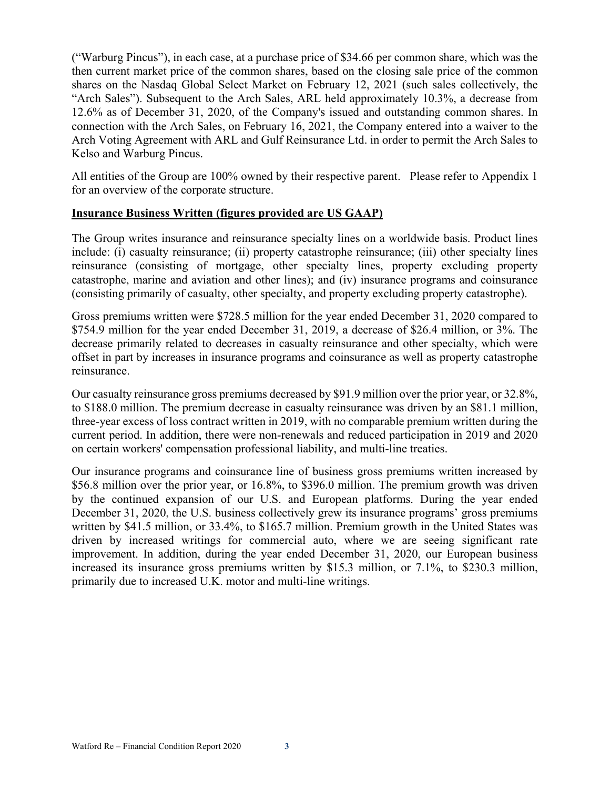("Warburg Pincus"), in each case, at a purchase price of \$34.66 per common share, which was the then current market price of the common shares, based on the closing sale price of the common shares on the Nasdaq Global Select Market on February 12, 2021 (such sales collectively, the "Arch Sales"). Subsequent to the Arch Sales, ARL held approximately 10.3%, a decrease from 12.6% as of December 31, 2020, of the Company's issued and outstanding common shares. In connection with the Arch Sales, on February 16, 2021, the Company entered into a waiver to the Arch Voting Agreement with ARL and Gulf Reinsurance Ltd. in order to permit the Arch Sales to Kelso and Warburg Pincus.

All entities of the Group are 100% owned by their respective parent. Please refer to Appendix 1 for an overview of the corporate structure.

## **Insurance Business Written (figures provided are US GAAP)**

The Group writes insurance and reinsurance specialty lines on a worldwide basis. Product lines include: (i) casualty reinsurance; (ii) property catastrophe reinsurance; (iii) other specialty lines reinsurance (consisting of mortgage, other specialty lines, property excluding property catastrophe, marine and aviation and other lines); and (iv) insurance programs and coinsurance (consisting primarily of casualty, other specialty, and property excluding property catastrophe).

Gross premiums written were \$728.5 million for the year ended December 31, 2020 compared to \$754.9 million for the year ended December 31, 2019, a decrease of \$26.4 million, or 3%. The decrease primarily related to decreases in casualty reinsurance and other specialty, which were offset in part by increases in insurance programs and coinsurance as well as property catastrophe reinsurance.

Our casualty reinsurance gross premiums decreased by \$91.9 million over the prior year, or 32.8%, to \$188.0 million. The premium decrease in casualty reinsurance was driven by an \$81.1 million, three-year excess of loss contract written in 2019, with no comparable premium written during the current period. In addition, there were non-renewals and reduced participation in 2019 and 2020 on certain workers' compensation professional liability, and multi-line treaties.

Our insurance programs and coinsurance line of business gross premiums written increased by \$56.8 million over the prior year, or 16.8%, to \$396.0 million. The premium growth was driven by the continued expansion of our U.S. and European platforms. During the year ended December 31, 2020, the U.S. business collectively grew its insurance programs' gross premiums written by \$41.5 million, or 33.4%, to \$165.7 million. Premium growth in the United States was driven by increased writings for commercial auto, where we are seeing significant rate improvement. In addition, during the year ended December 31, 2020, our European business increased its insurance gross premiums written by \$15.3 million, or 7.1%, to \$230.3 million, primarily due to increased U.K. motor and multi-line writings.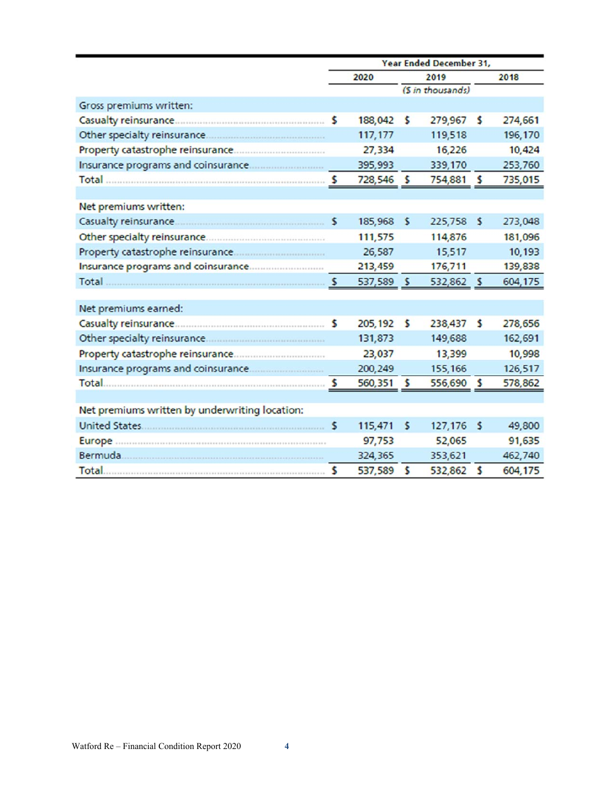|                                                | Year Ended December 31, |            |              |                   |     |         |
|------------------------------------------------|-------------------------|------------|--------------|-------------------|-----|---------|
|                                                | 2020                    |            | 2019         |                   |     | 2018    |
|                                                |                         |            |              | (\$ in thousands) |     |         |
| Gross premiums written:                        |                         |            |              |                   |     |         |
|                                                |                         | 188,042    | \$           | 279,967           | s   | 274,661 |
|                                                |                         | 117,177    |              | 119,518           |     | 196,170 |
|                                                |                         | 27,334     |              | 16,226            |     | 10,424  |
|                                                |                         | 395,993    |              | 339,170           |     | 253,760 |
|                                                |                         | 728,546 \$ |              | 754,881 \$        |     | 735,015 |
|                                                |                         |            |              |                   |     |         |
| Net premiums written:                          |                         |            |              |                   |     |         |
|                                                |                         | 185,968    | $\sim$       | 225,758           | \$  | 273,048 |
|                                                |                         | 111,575    |              | 114,876           |     | 181,096 |
|                                                |                         | 26,587     |              | 15,517            |     | 10,193  |
|                                                |                         | 213,459    |              | 176,711           |     | 139,838 |
|                                                |                         | 537,589 \$ |              | 532,862 \$        |     | 604,175 |
|                                                |                         |            |              |                   |     |         |
| Net premiums earned:                           |                         |            |              |                   |     |         |
|                                                |                         | 205,192    | $\mathsf{s}$ | 238,437           | s   | 278,656 |
|                                                |                         | 131,873    |              | 149,688           |     | 162,691 |
|                                                |                         | 23,037     |              | 13,399            |     | 10,998  |
|                                                |                         | 200,249    |              | 155,166           |     | 126,517 |
|                                                |                         | 560,351 \$ |              | 556,690 \$        |     | 578,862 |
|                                                |                         |            |              |                   |     |         |
| Net premiums written by underwriting location: |                         |            |              |                   |     |         |
|                                                | s                       | 115,471    | $\mathsf{s}$ | 127,176           | - 5 | 49,800  |
|                                                |                         | 97,753     |              | 52,065            |     | 91,635  |
|                                                |                         | 324,365    |              | 353,621           |     | 462,740 |
|                                                | \$                      | 537,589    | $\sim$       | 532,862 \$        |     | 604,175 |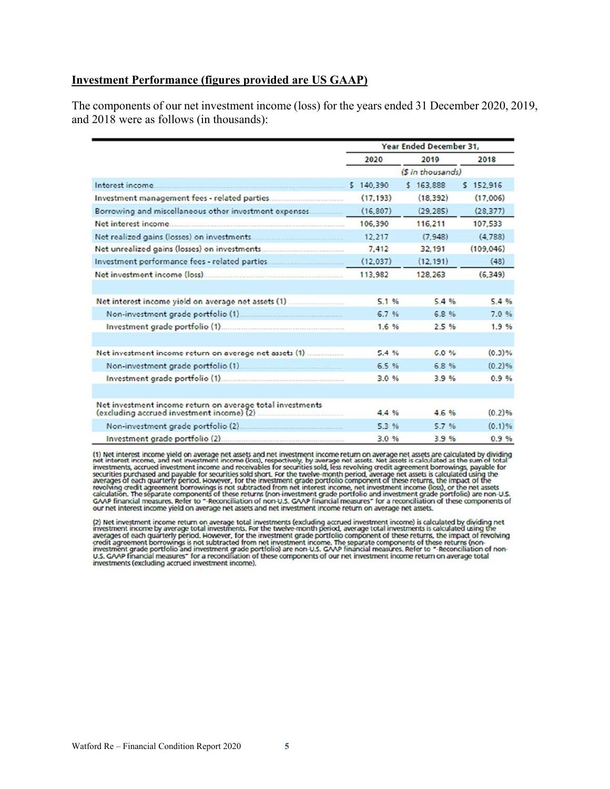#### **Investment Performance (figures provided are US GAAP)**

The components of our net investment income (loss) for the years ended 31 December 2020, 2019, and 2018 were as follows (in thousands):

|                                                           | Year Ended December 31, |           |           |  |
|-----------------------------------------------------------|-------------------------|-----------|-----------|--|
|                                                           | 2020                    | 2019      | 2018      |  |
|                                                           | (S in thousands)        |           |           |  |
|                                                           |                         | \$163.888 | 5 152.916 |  |
|                                                           | (17, 193)               | (18.392)  | (17,006)  |  |
| Borrowing and miscellaneous other investment expenses     | (16.807)                | (29.285)  | (28, 377) |  |
|                                                           | 106,390                 | 116,211   | 107,533   |  |
|                                                           | 12.217                  | (7.948)   | (4, 788)  |  |
|                                                           | 7.412                   | 32,191    | (109.046) |  |
| Investment performance fees - related parties             | (12.037)                | (12.191)  | (48)      |  |
|                                                           | 113,982                 | 128,263   | (6, 349)  |  |
|                                                           |                         |           |           |  |
|                                                           | 5.1%                    | 5.4%      | 5.4%      |  |
|                                                           | 6.7%                    | 6.8%      | 7.0 %     |  |
| Investment grade portfolio (1)                            | 1.6%                    | 2.5%      | 1.9%      |  |
|                                                           |                         |           |           |  |
|                                                           | 5.4%                    | 6.0%      | (0.3)%    |  |
|                                                           | 6.5%                    | 6.8%      | $(0.2)$ % |  |
|                                                           | 3.0%                    | 3.9%      | 0.9%      |  |
|                                                           |                         |           |           |  |
| Net investment income return on average total investments | 4.4%                    | 4.6%      | (0.2)%    |  |
|                                                           | 5.3%                    | 5.7%      | $(0.1)$ % |  |
| Investment grade portfolio (2)                            | 3.0%                    | 3.9%      | 0.9%      |  |

(1) Net interest income yield on average net assets and net investment income return on average net assets are calculated by dividing<br>net interest income, and net investment income (loss), respectively. by average net asse our net interest income yield on average net assets and net investment income return on average net assets.

(2) Net investment income return on average total investments (excluding accrued investment income) is calculated by dividing net investment income by average total investments is calculated using the investment income by available period. However, for the investment grade portfolio component of these returns, the impact of revolving<br>credit agreement borrowings is not subtracted from net investment grade portfolio compo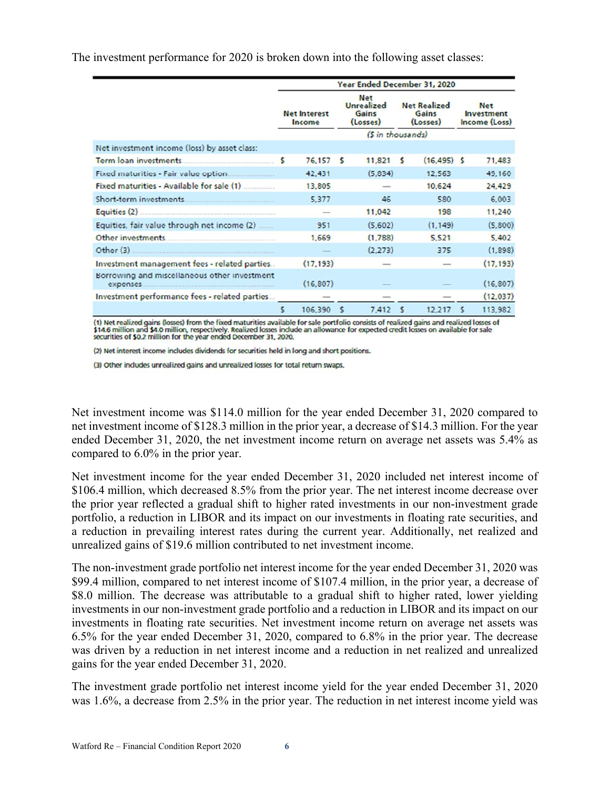The investment performance for 2020 is broken down into the following asset classes:

|                                               | Year Ended December 31, 2020  |           |                                                      |                  |                                          |                |   |                                           |
|-----------------------------------------------|-------------------------------|-----------|------------------------------------------------------|------------------|------------------------------------------|----------------|---|-------------------------------------------|
|                                               | <b>Net Interest</b><br>Income |           | <b>Net</b><br><b>Unrealized</b><br>Gains<br>(Losses) |                  | <b>Net Realized</b><br>Gains<br>(Losses) |                |   | <b>Net</b><br>Investment<br>Income (Loss) |
|                                               |                               |           |                                                      | (S in thousands) |                                          |                |   |                                           |
| Net investment income (loss) by asset class:  |                               |           |                                                      |                  |                                          |                |   |                                           |
|                                               |                               | 76,157    | - 5                                                  | 11,821           | s                                        | $(16, 495)$ \$ |   | 71,483                                    |
|                                               |                               | 42,431    |                                                      | (5,834)          |                                          | 12,563         |   | 49,160                                    |
| Fixed maturities - Available for sale (1)     |                               | 13,805    |                                                      |                  |                                          | 10,624         |   | 24,429                                    |
|                                               |                               | 5.377     |                                                      | 46               |                                          | 580            |   | 6,003                                     |
|                                               |                               |           |                                                      | 11,042           |                                          | 198            |   | 11,240                                    |
| Equities, fair value through net income (2)   |                               | 951       |                                                      | (5,602)          |                                          | (1.149)        |   | (5,800)                                   |
|                                               |                               | 1,669     |                                                      | (1,788)          |                                          | 5.521          |   | 5,402                                     |
| Other $(3)$                                   |                               |           |                                                      | (2.273)          |                                          | 375            |   | (1,898)                                   |
| Investment management fees - related parties  |                               | (17, 193) |                                                      |                  |                                          |                |   | (17, 193)                                 |
| Borrowing and miscellaneous other investment  |                               | (16, 807) |                                                      |                  |                                          |                |   | (16, 807)                                 |
| Investment performance fees - related parties |                               |           |                                                      | $\frac{1}{2}$    |                                          |                |   | (12,037)                                  |
|                                               | \$                            | 106,390   | s                                                    | 7,412            | s                                        | 12,217         | s | 113,982                                   |

(1) Net realized gains (losses) from the fixed maturities available for sale portfolio consists of realized gains and realized losses of \$14.6 million and \$4.0 million, respectively. Realized losses indude an allowance for

(2) Net interest income includes dividends for securities held in long and short positions.

(3) Other includes unrealized gains and unrealized losses for total return swaps.

Net investment income was \$114.0 million for the year ended December 31, 2020 compared to net investment income of \$128.3 million in the prior year, a decrease of \$14.3 million. For the year ended December 31, 2020, the net investment income return on average net assets was 5.4% as compared to 6.0% in the prior year.

Net investment income for the year ended December 31, 2020 included net interest income of \$106.4 million, which decreased 8.5% from the prior year. The net interest income decrease over the prior year reflected a gradual shift to higher rated investments in our non-investment grade portfolio, a reduction in LIBOR and its impact on our investments in floating rate securities, and a reduction in prevailing interest rates during the current year. Additionally, net realized and unrealized gains of \$19.6 million contributed to net investment income.

The non-investment grade portfolio net interest income for the year ended December 31, 2020 was \$99.4 million, compared to net interest income of \$107.4 million, in the prior year, a decrease of \$8.0 million. The decrease was attributable to a gradual shift to higher rated, lower yielding investments in our non-investment grade portfolio and a reduction in LIBOR and its impact on our investments in floating rate securities. Net investment income return on average net assets was 6.5% for the year ended December 31, 2020, compared to 6.8% in the prior year. The decrease was driven by a reduction in net interest income and a reduction in net realized and unrealized gains for the year ended December 31, 2020.

The investment grade portfolio net interest income yield for the year ended December 31, 2020 was 1.6%, a decrease from 2.5% in the prior year. The reduction in net interest income yield was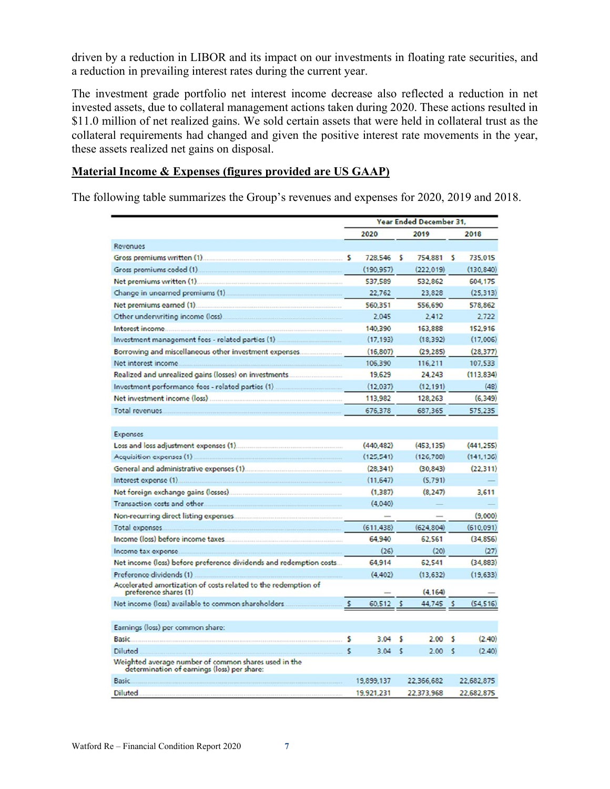driven by a reduction in LIBOR and its impact on our investments in floating rate securities, and a reduction in prevailing interest rates during the current year.

The investment grade portfolio net interest income decrease also reflected a reduction in net invested assets, due to collateral management actions taken during 2020. These actions resulted in \$11.0 million of net realized gains. We sold certain assets that were held in collateral trust as the collateral requirements had changed and given the positive interest rate movements in the year, these assets realized net gains on disposal.

#### **Material Income & Expenses (figures provided are US GAAP)**

The following table summarizes the Group's revenues and expenses for 2020, 2019 and 2018.

|                                                                                                     | Year Ended December 31, |            |    |            |              |            |
|-----------------------------------------------------------------------------------------------------|-------------------------|------------|----|------------|--------------|------------|
|                                                                                                     |                         | 2020       |    | 2019       |              | 2018       |
| Revenues                                                                                            |                         |            |    |            |              |            |
| Gross premiums written (1).                                                                         | s                       | 728.546    | s  | 754,881    | s            | 735,015    |
| Gross premiums ceded (1)                                                                            |                         | (190.957)  |    | (222.019)  |              | (130, 840) |
| Net premiums written (1).                                                                           |                         | 537,589    |    | 532,862    |              | 604,175    |
| Change in unearned premiums (1)                                                                     |                         | 22.762     |    | 23.828     |              | (25, 313)  |
| Net premiums earned (1).                                                                            |                         | 560,351    |    | 556,690    |              | 578,862    |
| Other underwriting income (loss)                                                                    |                         | 2.045      |    | 2.412      |              | 2.722      |
| Interest income.                                                                                    |                         | 140,390    |    | 163,888    |              | 152.916    |
| Investment management fees - related parties (1)                                                    |                         | (17.193)   |    | (18.392)   |              | (17.006)   |
| Borrowing and miscellaneous other investment expenses.                                              |                         | (16, 807)  |    | (29, 285)  |              | (28, 377)  |
| Net interest income.                                                                                |                         | 106,390    |    | 116,211    |              | 107,533    |
| Realized and unrealized gains (losses) on investments.                                              |                         | 19,629     |    | 24,243     |              | (113, 834) |
| Investment performance fees - related parties (1)                                                   |                         | (12, 037)  |    | (12, 191)  |              | (48)       |
| Net investment income (loss)                                                                        |                         | 113,982    |    | 128,263    |              | (6.349)    |
| Total revenues.                                                                                     |                         | 676,378    |    | 687,365    |              | 575,235    |
|                                                                                                     |                         |            |    |            |              |            |
| Expenses                                                                                            |                         |            |    |            |              |            |
| Loss and loss adjustment expenses (1).                                                              |                         | (440.482)  |    | (453.135)  |              | (441.255)  |
| Acquisition expenses (1)                                                                            |                         | (125.541)  |    | (126, 788) |              | (141, 136) |
| General and administrative expenses (1).                                                            |                         | (28.341)   |    | (30, 843)  |              | (22.311)   |
| Interest expense (1).                                                                               |                         | (11, 647)  |    | (5.791)    |              |            |
| Net foreign exchange gains (losses).                                                                |                         | (1, 387)   |    | (8, 247)   |              | 3,611      |
| Transaction costs and other.                                                                        |                         | (4.040)    |    |            |              |            |
| Non-recurring direct listing expenses.                                                              |                         |            |    |            |              | (9,000)    |
| Total expenses.                                                                                     |                         | (611, 438) |    | (624, 804) |              | (610,091)  |
| Income (loss) before income taxes.                                                                  |                         | 64,940     |    | 62.561     |              | (34, 856)  |
| Income tax expense.                                                                                 |                         | (26)       |    | (20)       |              | (27)       |
| Net income (loss) before preference dividends and redemption costs                                  |                         | 64.914     |    | 62,541     |              | (34, 883)  |
| Preference dividends (1)                                                                            |                         | (4.402)    |    | (13.632)   |              | (19, 633)  |
| Accelerated amortization of costs related to the redemption of<br>preference shares (1)             |                         |            |    | (4.164)    |              |            |
| Net income (loss) available to common shareholders.                                                 | s                       | 60.512     |    | 44.745     | s            | (54, 516)  |
|                                                                                                     |                         |            |    |            |              |            |
| Earnings (loss) per common share:                                                                   |                         |            |    |            |              |            |
| <b>Basic</b>                                                                                        | s                       | 3.04       | s  | 2.00       | s            | (2.40)     |
| Diluted                                                                                             | s                       | 3.04       | -5 | 2.00       | $\mathsf{s}$ | (2.40)     |
| Weighted average number of common shares used in the<br>determination of earnings (loss) per share: |                         |            |    |            |              |            |
| <b>Basic</b>                                                                                        |                         | 19,899,137 |    | 22.366.682 |              | 22.682.875 |
| <b>Diluted</b>                                                                                      |                         | 19,921,231 |    | 22.373.968 |              | 22.682.875 |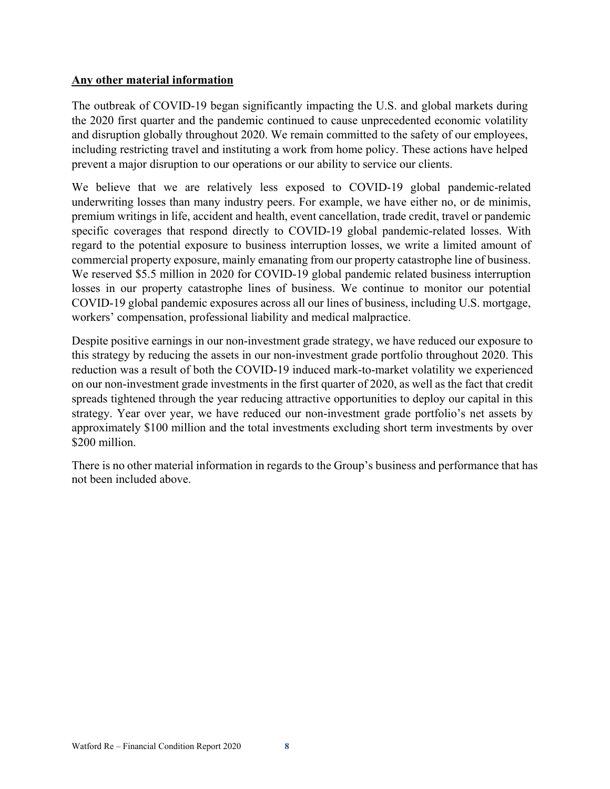## **Any other material information**

The outbreak of COVID-19 began significantly impacting the U.S. and global markets during the 2020 first quarter and the pandemic continued to cause unprecedented economic volatility and disruption globally throughout 2020. We remain committed to the safety of our employees, including restricting travel and instituting a work from home policy. These actions have helped prevent a major disruption to our operations or our ability to service our clients.

We believe that we are relatively less exposed to COVID-19 global pandemic-related underwriting losses than many industry peers. For example, we have either no, or de minimis, premium writings in life, accident and health, event cancellation, trade credit, travel or pandemic specific coverages that respond directly to COVID-19 global pandemic-related losses. With regard to the potential exposure to business interruption losses, we write a limited amount of commercial property exposure, mainly emanating from our property catastrophe line of business. We reserved \$5.5 million in 2020 for COVID-19 global pandemic related business interruption losses in our property catastrophe lines of business. We continue to monitor our potential COVID-19 global pandemic exposures across all our lines of business, including U.S. mortgage, workers' compensation, professional liability and medical malpractice.

Despite positive earnings in our non-investment grade strategy, we have reduced our exposure to this strategy by reducing the assets in our non-investment grade portfolio throughout 2020. This reduction was a result of both the COVID-19 induced mark-to-market volatility we experienced on our non-investment grade investments in the first quarter of 2020, as well as the fact that credit spreads tightened through the year reducing attractive opportunities to deploy our capital in this strategy. Year over year, we have reduced our non-investment grade portfolio's net assets by approximately \$100 million and the total investments excluding short term investments by over \$200 million.

There is no other material information in regards to the Group's business and performance that has not been included above.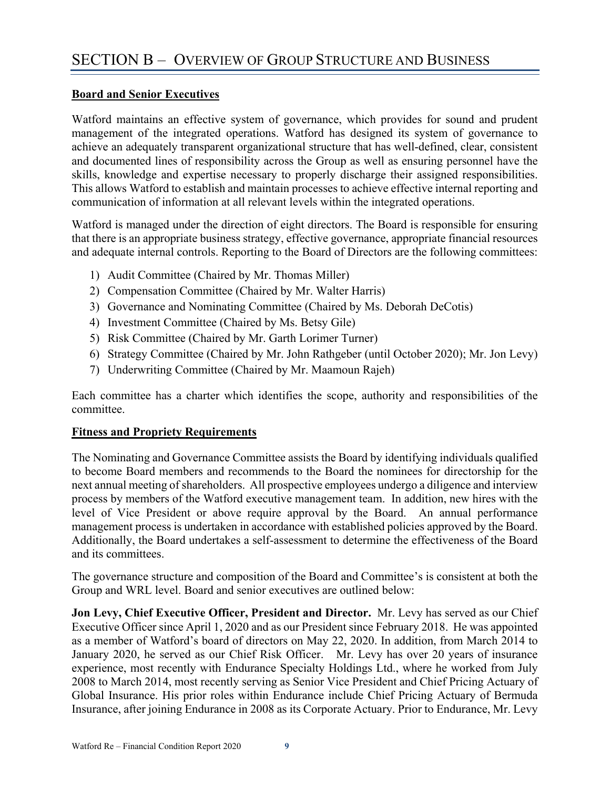## **Board and Senior Executives**

Watford maintains an effective system of governance, which provides for sound and prudent management of the integrated operations. Watford has designed its system of governance to achieve an adequately transparent organizational structure that has well-defined, clear, consistent and documented lines of responsibility across the Group as well as ensuring personnel have the skills, knowledge and expertise necessary to properly discharge their assigned responsibilities. This allows Watford to establish and maintain processes to achieve effective internal reporting and communication of information at all relevant levels within the integrated operations.

Watford is managed under the direction of eight directors. The Board is responsible for ensuring that there is an appropriate business strategy, effective governance, appropriate financial resources and adequate internal controls. Reporting to the Board of Directors are the following committees:

- 1) Audit Committee (Chaired by Mr. Thomas Miller)
- 2) Compensation Committee (Chaired by Mr. Walter Harris)
- 3) Governance and Nominating Committee (Chaired by Ms. Deborah DeCotis)
- 4) Investment Committee (Chaired by Ms. Betsy Gile)
- 5) Risk Committee (Chaired by Mr. Garth Lorimer Turner)
- 6) Strategy Committee (Chaired by Mr. John Rathgeber (until October 2020); Mr. Jon Levy)
- 7) Underwriting Committee (Chaired by Mr. Maamoun Rajeh)

Each committee has a charter which identifies the scope, authority and responsibilities of the committee.

## **Fitness and Propriety Requirements**

The Nominating and Governance Committee assists the Board by identifying individuals qualified to become Board members and recommends to the Board the nominees for directorship for the next annual meeting of shareholders. All prospective employees undergo a diligence and interview process by members of the Watford executive management team. In addition, new hires with the level of Vice President or above require approval by the Board. An annual performance management process is undertaken in accordance with established policies approved by the Board. Additionally, the Board undertakes a self-assessment to determine the effectiveness of the Board and its committees.

The governance structure and composition of the Board and Committee's is consistent at both the Group and WRL level. Board and senior executives are outlined below:

**Jon Levy, Chief Executive Officer, President and Director.** Mr. Levy has served as our Chief Executive Officer since April 1, 2020 and as our President since February 2018. He was appointed as a member of Watford's board of directors on May 22, 2020. In addition, from March 2014 to January 2020, he served as our Chief Risk Officer. Mr. Levy has over 20 years of insurance experience, most recently with Endurance Specialty Holdings Ltd., where he worked from July 2008 to March 2014, most recently serving as Senior Vice President and Chief Pricing Actuary of Global Insurance. His prior roles within Endurance include Chief Pricing Actuary of Bermuda Insurance, after joining Endurance in 2008 as its Corporate Actuary. Prior to Endurance, Mr. Levy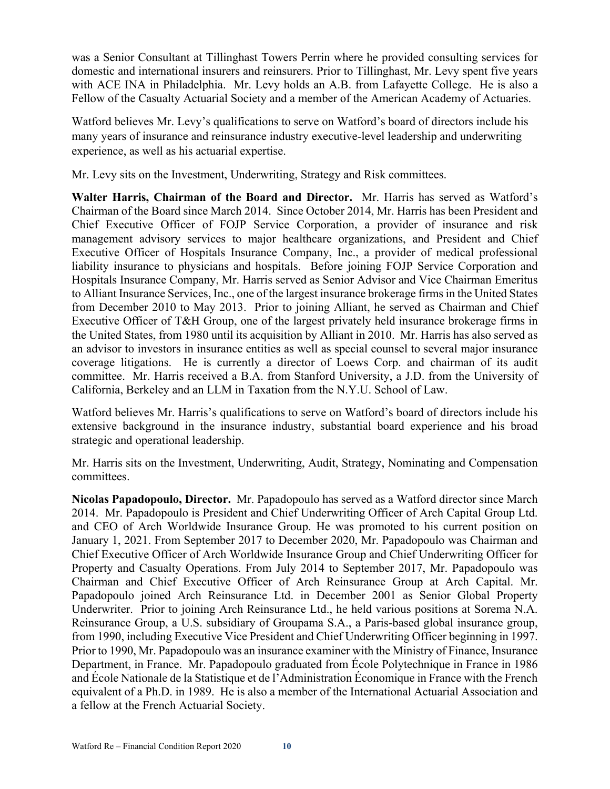was a Senior Consultant at Tillinghast Towers Perrin where he provided consulting services for domestic and international insurers and reinsurers. Prior to Tillinghast, Mr. Levy spent five years with ACE INA in Philadelphia. Mr. Levy holds an A.B. from Lafayette College. He is also a Fellow of the Casualty Actuarial Society and a member of the American Academy of Actuaries.

Watford believes Mr. Levy's qualifications to serve on Watford's board of directors include his many years of insurance and reinsurance industry executive-level leadership and underwriting experience, as well as his actuarial expertise.

Mr. Levy sits on the Investment, Underwriting, Strategy and Risk committees.

**Walter Harris, Chairman of the Board and Director.** Mr. Harris has served as Watford's Chairman of the Board since March 2014. Since October 2014, Mr. Harris has been President and Chief Executive Officer of FOJP Service Corporation, a provider of insurance and risk management advisory services to major healthcare organizations, and President and Chief Executive Officer of Hospitals Insurance Company, Inc., a provider of medical professional liability insurance to physicians and hospitals. Before joining FOJP Service Corporation and Hospitals Insurance Company, Mr. Harris served as Senior Advisor and Vice Chairman Emeritus to Alliant Insurance Services, Inc., one of the largest insurance brokerage firms in the United States from December 2010 to May 2013. Prior to joining Alliant, he served as Chairman and Chief Executive Officer of T&H Group, one of the largest privately held insurance brokerage firms in the United States, from 1980 until its acquisition by Alliant in 2010. Mr. Harris has also served as an advisor to investors in insurance entities as well as special counsel to several major insurance coverage litigations. He is currently a director of Loews Corp. and chairman of its audit committee. Mr. Harris received a B.A. from Stanford University, a J.D. from the University of California, Berkeley and an LLM in Taxation from the N.Y.U. School of Law.

Watford believes Mr. Harris's qualifications to serve on Watford's board of directors include his extensive background in the insurance industry, substantial board experience and his broad strategic and operational leadership.

Mr. Harris sits on the Investment, Underwriting, Audit, Strategy, Nominating and Compensation committees.

**Nicolas Papadopoulo, Director.** Mr. Papadopoulo has served as a Watford director since March 2014. Mr. Papadopoulo is President and Chief Underwriting Officer of Arch Capital Group Ltd. and CEO of Arch Worldwide Insurance Group. He was promoted to his current position on January 1, 2021. From September 2017 to December 2020, Mr. Papadopoulo was Chairman and Chief Executive Officer of Arch Worldwide Insurance Group and Chief Underwriting Officer for Property and Casualty Operations. From July 2014 to September 2017, Mr. Papadopoulo was Chairman and Chief Executive Officer of Arch Reinsurance Group at Arch Capital. Mr. Papadopoulo joined Arch Reinsurance Ltd. in December 2001 as Senior Global Property Underwriter. Prior to joining Arch Reinsurance Ltd., he held various positions at Sorema N.A. Reinsurance Group, a U.S. subsidiary of Groupama S.A., a Paris-based global insurance group, from 1990, including Executive Vice President and Chief Underwriting Officer beginning in 1997. Prior to 1990, Mr. Papadopoulo was an insurance examiner with the Ministry of Finance, Insurance Department, in France. Mr. Papadopoulo graduated from École Polytechnique in France in 1986 and École Nationale de la Statistique et de l'Administration Économique in France with the French equivalent of a Ph.D. in 1989. He is also a member of the International Actuarial Association and a fellow at the French Actuarial Society.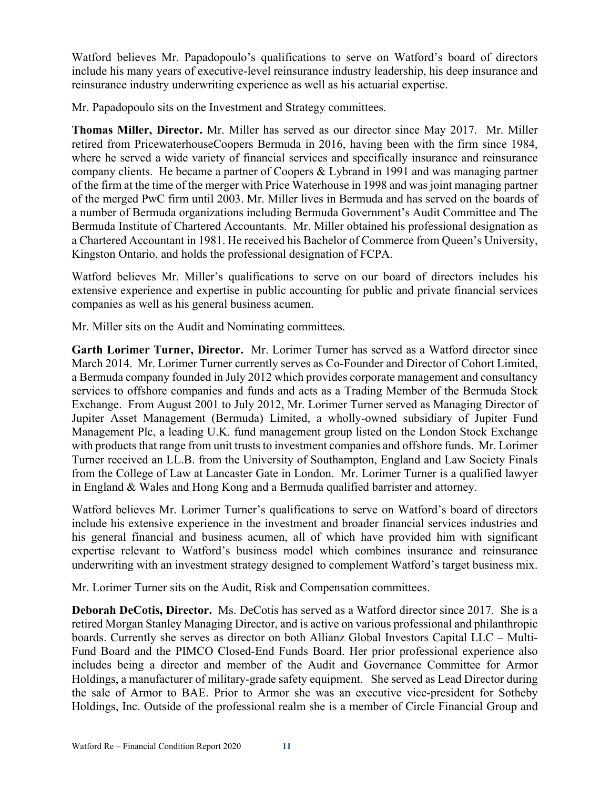Watford believes Mr. Papadopoulo's qualifications to serve on Watford's board of directors include his many years of executive-level reinsurance industry leadership, his deep insurance and reinsurance industry underwriting experience as well as his actuarial expertise.

Mr. Papadopoulo sits on the Investment and Strategy committees.

**Thomas Miller, Director.** Mr. Miller has served as our director since May 2017. Mr. Miller retired from PricewaterhouseCoopers Bermuda in 2016, having been with the firm since 1984, where he served a wide variety of financial services and specifically insurance and reinsurance company clients. He became a partner of Coopers & Lybrand in 1991 and was managing partner of the firm at the time of the merger with Price Waterhouse in 1998 and was joint managing partner of the merged PwC firm until 2003. Mr. Miller lives in Bermuda and has served on the boards of a number of Bermuda organizations including Bermuda Government's Audit Committee and The Bermuda Institute of Chartered Accountants. Mr. Miller obtained his professional designation as a Chartered Accountant in 1981. He received his Bachelor of Commerce from Queen's University, Kingston Ontario, and holds the professional designation of FCPA.

Watford believes Mr. Miller's qualifications to serve on our board of directors includes his extensive experience and expertise in public accounting for public and private financial services companies as well as his general business acumen.

Mr. Miller sits on the Audit and Nominating committees.

**Garth Lorimer Turner, Director.** Mr. Lorimer Turner has served as a Watford director since March 2014. Mr. Lorimer Turner currently serves as Co-Founder and Director of Cohort Limited, a Bermuda company founded in July 2012 which provides corporate management and consultancy services to offshore companies and funds and acts as a Trading Member of the Bermuda Stock Exchange. From August 2001 to July 2012, Mr. Lorimer Turner served as Managing Director of Jupiter Asset Management (Bermuda) Limited, a wholly-owned subsidiary of Jupiter Fund Management Plc, a leading U.K. fund management group listed on the London Stock Exchange with products that range from unit trusts to investment companies and offshore funds. Mr. Lorimer Turner received an LL.B. from the University of Southampton, England and Law Society Finals from the College of Law at Lancaster Gate in London. Mr. Lorimer Turner is a qualified lawyer in England & Wales and Hong Kong and a Bermuda qualified barrister and attorney.

Watford believes Mr. Lorimer Turner's qualifications to serve on Watford's board of directors include his extensive experience in the investment and broader financial services industries and his general financial and business acumen, all of which have provided him with significant expertise relevant to Watford's business model which combines insurance and reinsurance underwriting with an investment strategy designed to complement Watford's target business mix.

Mr. Lorimer Turner sits on the Audit, Risk and Compensation committees.

**Deborah DeCotis, Director.** Ms. DeCotis has served as a Watford director since 2017. She is a retired Morgan Stanley Managing Director, and is active on various professional and philanthropic boards. Currently she serves as director on both Allianz Global Investors Capital LLC – Multi-Fund Board and the PIMCO Closed-End Funds Board. Her prior professional experience also includes being a director and member of the Audit and Governance Committee for Armor Holdings, a manufacturer of military-grade safety equipment. She served as Lead Director during the sale of Armor to BAE. Prior to Armor she was an executive vice-president for Sotheby Holdings, Inc. Outside of the professional realm she is a member of Circle Financial Group and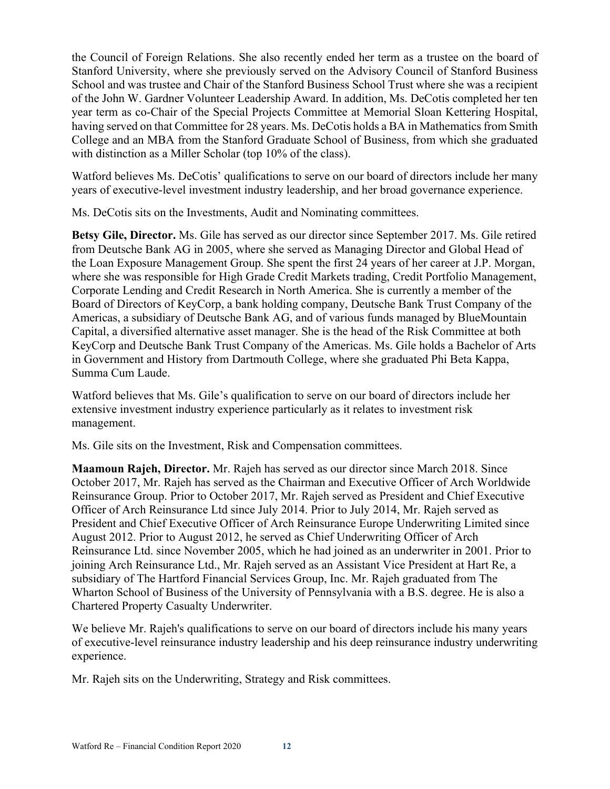the Council of Foreign Relations. She also recently ended her term as a trustee on the board of Stanford University, where she previously served on the Advisory Council of Stanford Business School and was trustee and Chair of the Stanford Business School Trust where she was a recipient of the John W. Gardner Volunteer Leadership Award. In addition, Ms. DeCotis completed her ten year term as co-Chair of the Special Projects Committee at Memorial Sloan Kettering Hospital, having served on that Committee for 28 years. Ms. DeCotis holds a BA in Mathematics from Smith College and an MBA from the Stanford Graduate School of Business, from which she graduated with distinction as a Miller Scholar (top 10% of the class).

Watford believes Ms. DeCotis' qualifications to serve on our board of directors include her many years of executive-level investment industry leadership, and her broad governance experience.

Ms. DeCotis sits on the Investments, Audit and Nominating committees.

**Betsy Gile, Director.** Ms. Gile has served as our director since September 2017. Ms. Gile retired from Deutsche Bank AG in 2005, where she served as Managing Director and Global Head of the Loan Exposure Management Group. She spent the first 24 years of her career at J.P. Morgan, where she was responsible for High Grade Credit Markets trading, Credit Portfolio Management, Corporate Lending and Credit Research in North America. She is currently a member of the Board of Directors of KeyCorp, a bank holding company, Deutsche Bank Trust Company of the Americas, a subsidiary of Deutsche Bank AG, and of various funds managed by BlueMountain Capital, a diversified alternative asset manager. She is the head of the Risk Committee at both KeyCorp and Deutsche Bank Trust Company of the Americas. Ms. Gile holds a Bachelor of Arts in Government and History from Dartmouth College, where she graduated Phi Beta Kappa, Summa Cum Laude.

Watford believes that Ms. Gile's qualification to serve on our board of directors include her extensive investment industry experience particularly as it relates to investment risk management.

Ms. Gile sits on the Investment, Risk and Compensation committees.

**Maamoun Rajeh, Director.** Mr. Rajeh has served as our director since March 2018. Since October 2017, Mr. Rajeh has served as the Chairman and Executive Officer of Arch Worldwide Reinsurance Group. Prior to October 2017, Mr. Rajeh served as President and Chief Executive Officer of Arch Reinsurance Ltd since July 2014. Prior to July 2014, Mr. Rajeh served as President and Chief Executive Officer of Arch Reinsurance Europe Underwriting Limited since August 2012. Prior to August 2012, he served as Chief Underwriting Officer of Arch Reinsurance Ltd. since November 2005, which he had joined as an underwriter in 2001. Prior to joining Arch Reinsurance Ltd., Mr. Rajeh served as an Assistant Vice President at Hart Re, a subsidiary of The Hartford Financial Services Group, Inc. Mr. Rajeh graduated from The Wharton School of Business of the University of Pennsylvania with a B.S. degree. He is also a Chartered Property Casualty Underwriter.

We believe Mr. Rajeh's qualifications to serve on our board of directors include his many years of executive-level reinsurance industry leadership and his deep reinsurance industry underwriting experience.

Mr. Rajeh sits on the Underwriting, Strategy and Risk committees.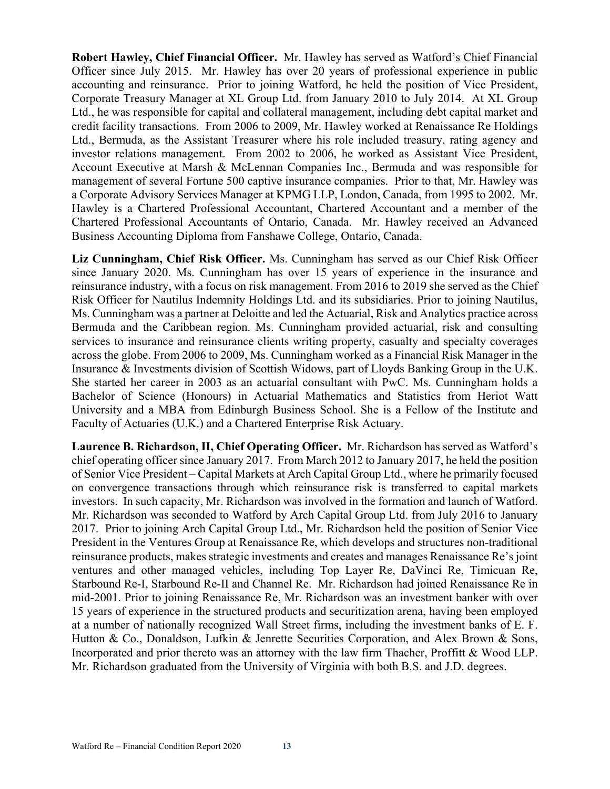**Robert Hawley, Chief Financial Officer.** Mr. Hawley has served as Watford's Chief Financial Officer since July 2015. Mr. Hawley has over 20 years of professional experience in public accounting and reinsurance. Prior to joining Watford, he held the position of Vice President, Corporate Treasury Manager at XL Group Ltd. from January 2010 to July 2014. At XL Group Ltd., he was responsible for capital and collateral management, including debt capital market and credit facility transactions. From 2006 to 2009, Mr. Hawley worked at Renaissance Re Holdings Ltd., Bermuda, as the Assistant Treasurer where his role included treasury, rating agency and investor relations management. From 2002 to 2006, he worked as Assistant Vice President, Account Executive at Marsh & McLennan Companies Inc., Bermuda and was responsible for management of several Fortune 500 captive insurance companies. Prior to that, Mr. Hawley was a Corporate Advisory Services Manager at KPMG LLP, London, Canada, from 1995 to 2002. Mr. Hawley is a Chartered Professional Accountant, Chartered Accountant and a member of the Chartered Professional Accountants of Ontario, Canada. Mr. Hawley received an Advanced Business Accounting Diploma from Fanshawe College, Ontario, Canada.

**Liz Cunningham, Chief Risk Officer.** Ms. Cunningham has served as our Chief Risk Officer since January 2020. Ms. Cunningham has over 15 years of experience in the insurance and reinsurance industry, with a focus on risk management. From 2016 to 2019 she served as the Chief Risk Officer for Nautilus Indemnity Holdings Ltd. and its subsidiaries. Prior to joining Nautilus, Ms. Cunningham was a partner at Deloitte and led the Actuarial, Risk and Analytics practice across Bermuda and the Caribbean region. Ms. Cunningham provided actuarial, risk and consulting services to insurance and reinsurance clients writing property, casualty and specialty coverages across the globe. From 2006 to 2009, Ms. Cunningham worked as a Financial Risk Manager in the Insurance & Investments division of Scottish Widows, part of Lloyds Banking Group in the U.K. She started her career in 2003 as an actuarial consultant with PwC. Ms. Cunningham holds a Bachelor of Science (Honours) in Actuarial Mathematics and Statistics from Heriot Watt University and a MBA from Edinburgh Business School. She is a Fellow of the Institute and Faculty of Actuaries (U.K.) and a Chartered Enterprise Risk Actuary.

**Laurence B. Richardson, II, Chief Operating Officer.** Mr. Richardson has served as Watford's chief operating officer since January 2017. From March 2012 to January 2017, he held the position of Senior Vice President – Capital Markets at Arch Capital Group Ltd., where he primarily focused on convergence transactions through which reinsurance risk is transferred to capital markets investors. In such capacity, Mr. Richardson was involved in the formation and launch of Watford. Mr. Richardson was seconded to Watford by Arch Capital Group Ltd. from July 2016 to January 2017. Prior to joining Arch Capital Group Ltd., Mr. Richardson held the position of Senior Vice President in the Ventures Group at Renaissance Re, which develops and structures non-traditional reinsurance products, makes strategic investments and creates and manages Renaissance Re's joint ventures and other managed vehicles, including Top Layer Re, DaVinci Re, Timicuan Re, Starbound Re-I, Starbound Re-II and Channel Re. Mr. Richardson had joined Renaissance Re in mid-2001. Prior to joining Renaissance Re, Mr. Richardson was an investment banker with over 15 years of experience in the structured products and securitization arena, having been employed at a number of nationally recognized Wall Street firms, including the investment banks of E. F. Hutton & Co., Donaldson, Lufkin & Jenrette Securities Corporation, and Alex Brown & Sons, Incorporated and prior thereto was an attorney with the law firm Thacher, Proffitt & Wood LLP. Mr. Richardson graduated from the University of Virginia with both B.S. and J.D. degrees.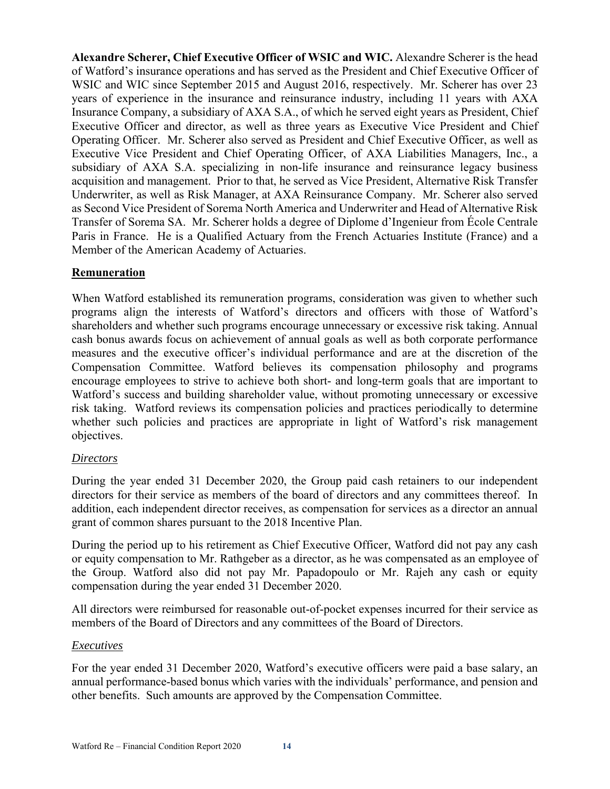**Alexandre Scherer, Chief Executive Officer of WSIC and WIC.** Alexandre Scherer is the head of Watford's insurance operations and has served as the President and Chief Executive Officer of WSIC and WIC since September 2015 and August 2016, respectively. Mr. Scherer has over 23 years of experience in the insurance and reinsurance industry, including 11 years with AXA Insurance Company, a subsidiary of AXA S.A., of which he served eight years as President, Chief Executive Officer and director, as well as three years as Executive Vice President and Chief Operating Officer. Mr. Scherer also served as President and Chief Executive Officer, as well as Executive Vice President and Chief Operating Officer, of AXA Liabilities Managers, Inc., a subsidiary of AXA S.A. specializing in non-life insurance and reinsurance legacy business acquisition and management. Prior to that, he served as Vice President, Alternative Risk Transfer Underwriter, as well as Risk Manager, at AXA Reinsurance Company. Mr. Scherer also served as Second Vice President of Sorema North America and Underwriter and Head of Alternative Risk Transfer of Sorema SA. Mr. Scherer holds a degree of Diplome d'Ingenieur from École Centrale Paris in France. He is a Qualified Actuary from the French Actuaries Institute (France) and a Member of the American Academy of Actuaries.

### **Remuneration**

When Watford established its remuneration programs, consideration was given to whether such programs align the interests of Watford's directors and officers with those of Watford's shareholders and whether such programs encourage unnecessary or excessive risk taking. Annual cash bonus awards focus on achievement of annual goals as well as both corporate performance measures and the executive officer's individual performance and are at the discretion of the Compensation Committee. Watford believes its compensation philosophy and programs encourage employees to strive to achieve both short- and long-term goals that are important to Watford's success and building shareholder value, without promoting unnecessary or excessive risk taking. Watford reviews its compensation policies and practices periodically to determine whether such policies and practices are appropriate in light of Watford's risk management objectives.

#### *Directors*

During the year ended 31 December 2020, the Group paid cash retainers to our independent directors for their service as members of the board of directors and any committees thereof. In addition, each independent director receives, as compensation for services as a director an annual grant of common shares pursuant to the 2018 Incentive Plan.

During the period up to his retirement as Chief Executive Officer, Watford did not pay any cash or equity compensation to Mr. Rathgeber as a director, as he was compensated as an employee of the Group. Watford also did not pay Mr. Papadopoulo or Mr. Rajeh any cash or equity compensation during the year ended 31 December 2020.

All directors were reimbursed for reasonable out-of-pocket expenses incurred for their service as members of the Board of Directors and any committees of the Board of Directors.

#### *Executives*

For the year ended 31 December 2020, Watford's executive officers were paid a base salary, an annual performance-based bonus which varies with the individuals' performance, and pension and other benefits. Such amounts are approved by the Compensation Committee.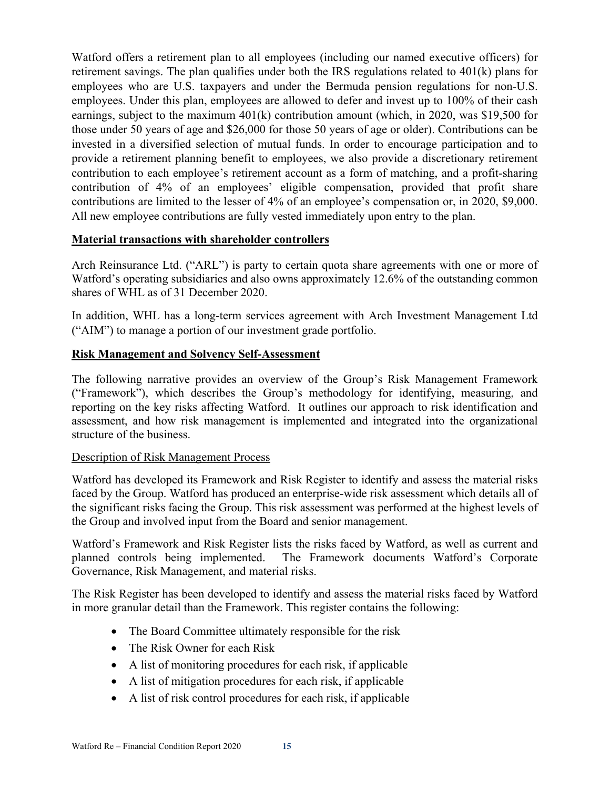Watford offers a retirement plan to all employees (including our named executive officers) for retirement savings. The plan qualifies under both the IRS regulations related to 401(k) plans for employees who are U.S. taxpayers and under the Bermuda pension regulations for non-U.S. employees. Under this plan, employees are allowed to defer and invest up to 100% of their cash earnings, subject to the maximum 401(k) contribution amount (which, in 2020, was \$19,500 for those under 50 years of age and \$26,000 for those 50 years of age or older). Contributions can be invested in a diversified selection of mutual funds. In order to encourage participation and to provide a retirement planning benefit to employees, we also provide a discretionary retirement contribution to each employee's retirement account as a form of matching, and a profit-sharing contribution of 4% of an employees' eligible compensation, provided that profit share contributions are limited to the lesser of 4% of an employee's compensation or, in 2020, \$9,000. All new employee contributions are fully vested immediately upon entry to the plan.

## **Material transactions with shareholder controllers**

Arch Reinsurance Ltd. ("ARL") is party to certain quota share agreements with one or more of Watford's operating subsidiaries and also owns approximately 12.6% of the outstanding common shares of WHL as of 31 December 2020.

In addition, WHL has a long-term services agreement with Arch Investment Management Ltd ("AIM") to manage a portion of our investment grade portfolio.

### **Risk Management and Solvency Self-Assessment**

The following narrative provides an overview of the Group's Risk Management Framework ("Framework"), which describes the Group's methodology for identifying, measuring, and reporting on the key risks affecting Watford. It outlines our approach to risk identification and assessment, and how risk management is implemented and integrated into the organizational structure of the business.

#### Description of Risk Management Process

Watford has developed its Framework and Risk Register to identify and assess the material risks faced by the Group. Watford has produced an enterprise-wide risk assessment which details all of the significant risks facing the Group. This risk assessment was performed at the highest levels of the Group and involved input from the Board and senior management.

Watford's Framework and Risk Register lists the risks faced by Watford, as well as current and planned controls being implemented. The Framework documents Watford's Corporate Governance, Risk Management, and material risks.

The Risk Register has been developed to identify and assess the material risks faced by Watford in more granular detail than the Framework. This register contains the following:

- The Board Committee ultimately responsible for the risk
- The Risk Owner for each Risk
- A list of monitoring procedures for each risk, if applicable
- A list of mitigation procedures for each risk, if applicable
- A list of risk control procedures for each risk, if applicable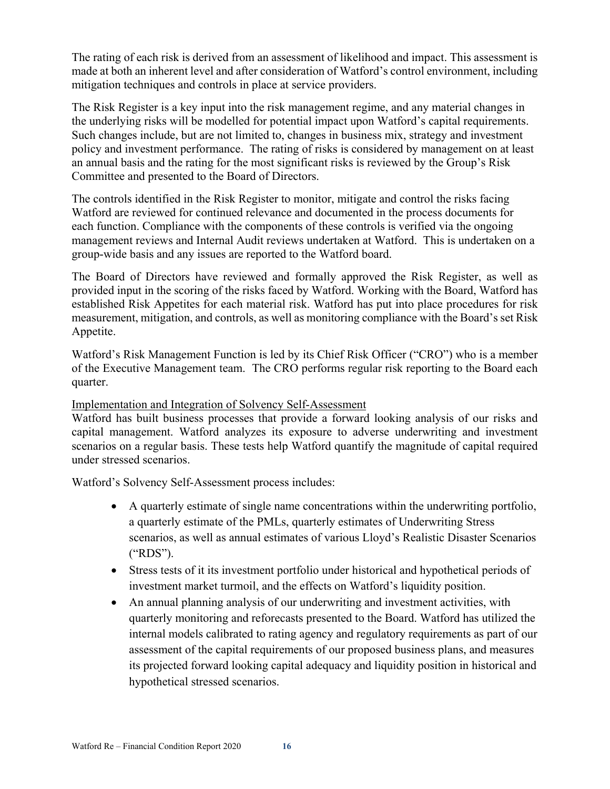The rating of each risk is derived from an assessment of likelihood and impact. This assessment is made at both an inherent level and after consideration of Watford's control environment, including mitigation techniques and controls in place at service providers.

The Risk Register is a key input into the risk management regime, and any material changes in the underlying risks will be modelled for potential impact upon Watford's capital requirements. Such changes include, but are not limited to, changes in business mix, strategy and investment policy and investment performance. The rating of risks is considered by management on at least an annual basis and the rating for the most significant risks is reviewed by the Group's Risk Committee and presented to the Board of Directors.

The controls identified in the Risk Register to monitor, mitigate and control the risks facing Watford are reviewed for continued relevance and documented in the process documents for each function. Compliance with the components of these controls is verified via the ongoing management reviews and Internal Audit reviews undertaken at Watford. This is undertaken on a group-wide basis and any issues are reported to the Watford board.

The Board of Directors have reviewed and formally approved the Risk Register, as well as provided input in the scoring of the risks faced by Watford. Working with the Board, Watford has established Risk Appetites for each material risk. Watford has put into place procedures for risk measurement, mitigation, and controls, as well as monitoring compliance with the Board's set Risk Appetite.

Watford's Risk Management Function is led by its Chief Risk Officer ("CRO") who is a member of the Executive Management team. The CRO performs regular risk reporting to the Board each quarter.

#### Implementation and Integration of Solvency Self-Assessment

Watford has built business processes that provide a forward looking analysis of our risks and capital management. Watford analyzes its exposure to adverse underwriting and investment scenarios on a regular basis. These tests help Watford quantify the magnitude of capital required under stressed scenarios.

Watford's Solvency Self-Assessment process includes:

- A quarterly estimate of single name concentrations within the underwriting portfolio, a quarterly estimate of the PMLs, quarterly estimates of Underwriting Stress scenarios, as well as annual estimates of various Lloyd's Realistic Disaster Scenarios ("RDS").
- Stress tests of it its investment portfolio under historical and hypothetical periods of investment market turmoil, and the effects on Watford's liquidity position.
- An annual planning analysis of our underwriting and investment activities, with quarterly monitoring and reforecasts presented to the Board. Watford has utilized the internal models calibrated to rating agency and regulatory requirements as part of our assessment of the capital requirements of our proposed business plans, and measures its projected forward looking capital adequacy and liquidity position in historical and hypothetical stressed scenarios.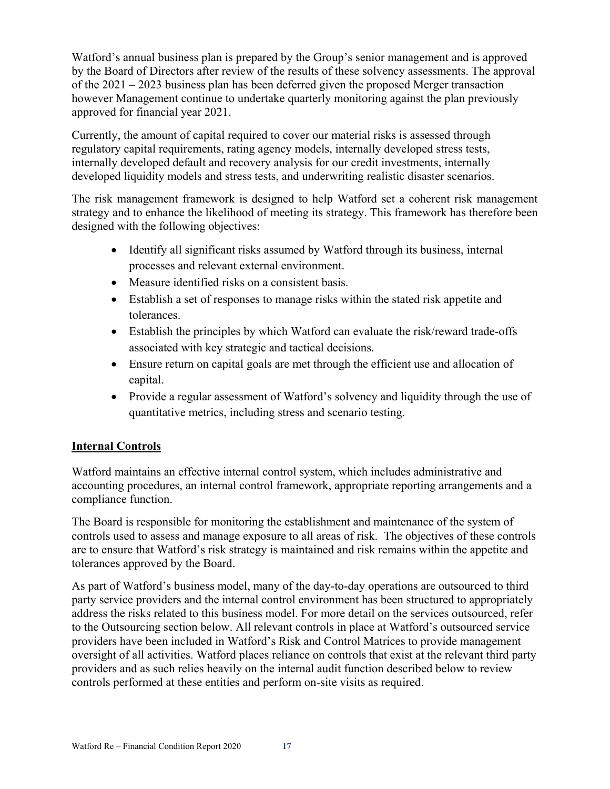Watford's annual business plan is prepared by the Group's senior management and is approved by the Board of Directors after review of the results of these solvency assessments. The approval of the 2021 – 2023 business plan has been deferred given the proposed Merger transaction however Management continue to undertake quarterly monitoring against the plan previously approved for financial year 2021.

Currently, the amount of capital required to cover our material risks is assessed through regulatory capital requirements, rating agency models, internally developed stress tests, internally developed default and recovery analysis for our credit investments, internally developed liquidity models and stress tests, and underwriting realistic disaster scenarios.

The risk management framework is designed to help Watford set a coherent risk management strategy and to enhance the likelihood of meeting its strategy. This framework has therefore been designed with the following objectives:

- Identify all significant risks assumed by Watford through its business, internal processes and relevant external environment.
- Measure identified risks on a consistent basis.
- Establish a set of responses to manage risks within the stated risk appetite and tolerances.
- Establish the principles by which Watford can evaluate the risk/reward trade-offs associated with key strategic and tactical decisions.
- Ensure return on capital goals are met through the efficient use and allocation of capital.
- Provide a regular assessment of Watford's solvency and liquidity through the use of quantitative metrics, including stress and scenario testing.

## **Internal Controls**

Watford maintains an effective internal control system, which includes administrative and accounting procedures, an internal control framework, appropriate reporting arrangements and a compliance function.

The Board is responsible for monitoring the establishment and maintenance of the system of controls used to assess and manage exposure to all areas of risk. The objectives of these controls are to ensure that Watford's risk strategy is maintained and risk remains within the appetite and tolerances approved by the Board.

As part of Watford's business model, many of the day-to-day operations are outsourced to third party service providers and the internal control environment has been structured to appropriately address the risks related to this business model. For more detail on the services outsourced, refer to the Outsourcing section below. All relevant controls in place at Watford's outsourced service providers have been included in Watford's Risk and Control Matrices to provide management oversight of all activities. Watford places reliance on controls that exist at the relevant third party providers and as such relies heavily on the internal audit function described below to review controls performed at these entities and perform on-site visits as required.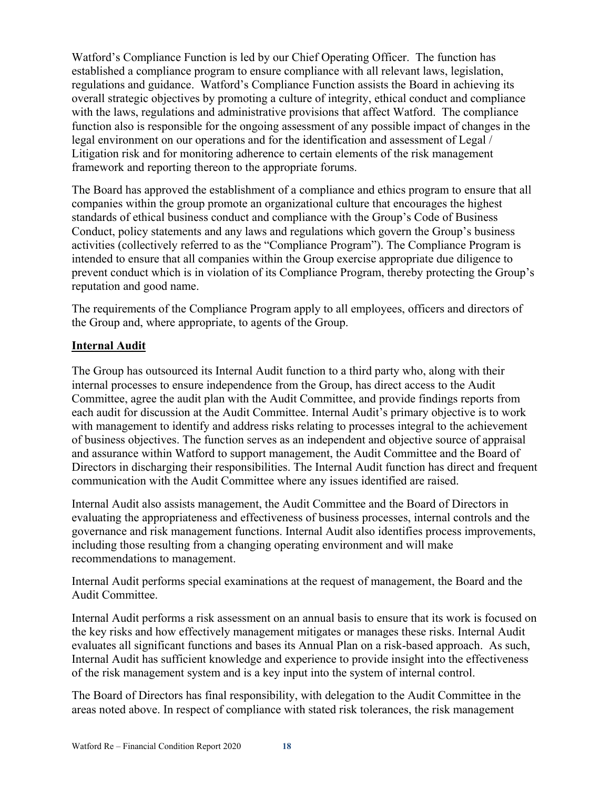Watford's Compliance Function is led by our Chief Operating Officer. The function has established a compliance program to ensure compliance with all relevant laws, legislation, regulations and guidance. Watford's Compliance Function assists the Board in achieving its overall strategic objectives by promoting a culture of integrity, ethical conduct and compliance with the laws, regulations and administrative provisions that affect Watford. The compliance function also is responsible for the ongoing assessment of any possible impact of changes in the legal environment on our operations and for the identification and assessment of Legal / Litigation risk and for monitoring adherence to certain elements of the risk management framework and reporting thereon to the appropriate forums.

The Board has approved the establishment of a compliance and ethics program to ensure that all companies within the group promote an organizational culture that encourages the highest standards of ethical business conduct and compliance with the Group's Code of Business Conduct, policy statements and any laws and regulations which govern the Group's business activities (collectively referred to as the "Compliance Program"). The Compliance Program is intended to ensure that all companies within the Group exercise appropriate due diligence to prevent conduct which is in violation of its Compliance Program, thereby protecting the Group's reputation and good name.

The requirements of the Compliance Program apply to all employees, officers and directors of the Group and, where appropriate, to agents of the Group.

## **Internal Audit**

The Group has outsourced its Internal Audit function to a third party who, along with their internal processes to ensure independence from the Group, has direct access to the Audit Committee, agree the audit plan with the Audit Committee, and provide findings reports from each audit for discussion at the Audit Committee. Internal Audit's primary objective is to work with management to identify and address risks relating to processes integral to the achievement of business objectives. The function serves as an independent and objective source of appraisal and assurance within Watford to support management, the Audit Committee and the Board of Directors in discharging their responsibilities. The Internal Audit function has direct and frequent communication with the Audit Committee where any issues identified are raised.

Internal Audit also assists management, the Audit Committee and the Board of Directors in evaluating the appropriateness and effectiveness of business processes, internal controls and the governance and risk management functions. Internal Audit also identifies process improvements, including those resulting from a changing operating environment and will make recommendations to management.

Internal Audit performs special examinations at the request of management, the Board and the Audit Committee.

Internal Audit performs a risk assessment on an annual basis to ensure that its work is focused on the key risks and how effectively management mitigates or manages these risks. Internal Audit evaluates all significant functions and bases its Annual Plan on a risk-based approach. As such, Internal Audit has sufficient knowledge and experience to provide insight into the effectiveness of the risk management system and is a key input into the system of internal control.

The Board of Directors has final responsibility, with delegation to the Audit Committee in the areas noted above. In respect of compliance with stated risk tolerances, the risk management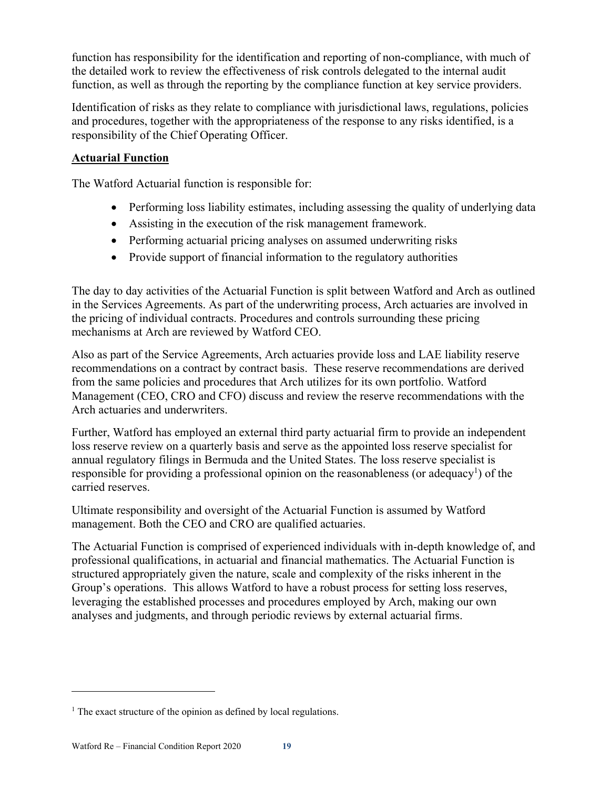function has responsibility for the identification and reporting of non-compliance, with much of the detailed work to review the effectiveness of risk controls delegated to the internal audit function, as well as through the reporting by the compliance function at key service providers.

Identification of risks as they relate to compliance with jurisdictional laws, regulations, policies and procedures, together with the appropriateness of the response to any risks identified, is a responsibility of the Chief Operating Officer.

## **Actuarial Function**

The Watford Actuarial function is responsible for:

- Performing loss liability estimates, including assessing the quality of underlying data
- Assisting in the execution of the risk management framework.
- Performing actuarial pricing analyses on assumed underwriting risks
- Provide support of financial information to the regulatory authorities

The day to day activities of the Actuarial Function is split between Watford and Arch as outlined in the Services Agreements. As part of the underwriting process, Arch actuaries are involved in the pricing of individual contracts. Procedures and controls surrounding these pricing mechanisms at Arch are reviewed by Watford CEO.

Also as part of the Service Agreements, Arch actuaries provide loss and LAE liability reserve recommendations on a contract by contract basis. These reserve recommendations are derived from the same policies and procedures that Arch utilizes for its own portfolio. Watford Management (CEO, CRO and CFO) discuss and review the reserve recommendations with the Arch actuaries and underwriters.

Further, Watford has employed an external third party actuarial firm to provide an independent loss reserve review on a quarterly basis and serve as the appointed loss reserve specialist for annual regulatory filings in Bermuda and the United States. The loss reserve specialist is responsible for providing a professional opinion on the reasonableness (or adequacy<sup>1</sup>) of the carried reserves.

Ultimate responsibility and oversight of the Actuarial Function is assumed by Watford management. Both the CEO and CRO are qualified actuaries.

The Actuarial Function is comprised of experienced individuals with in-depth knowledge of, and professional qualifications, in actuarial and financial mathematics. The Actuarial Function is structured appropriately given the nature, scale and complexity of the risks inherent in the Group's operations. This allows Watford to have a robust process for setting loss reserves, leveraging the established processes and procedures employed by Arch, making our own analyses and judgments, and through periodic reviews by external actuarial firms.

 $\overline{a}$ 

 $<sup>1</sup>$  The exact structure of the opinion as defined by local regulations.</sup>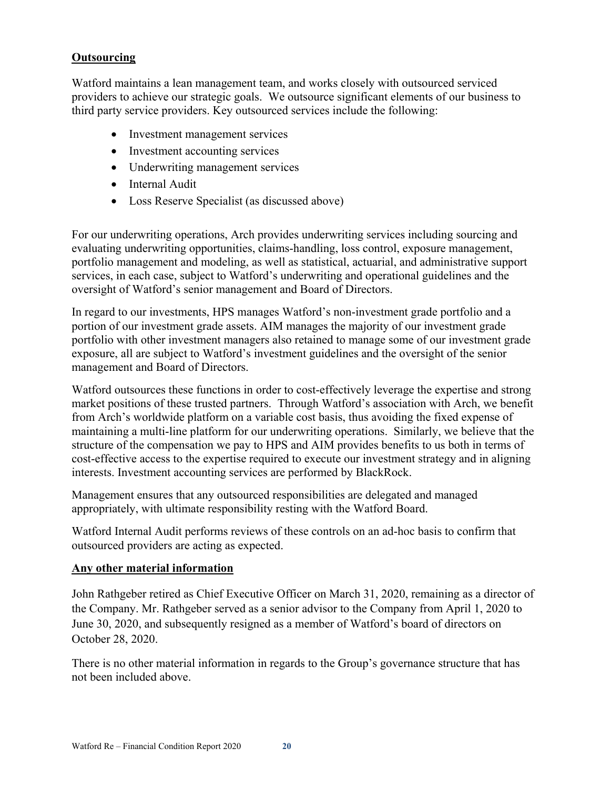## **Outsourcing**

Watford maintains a lean management team, and works closely with outsourced serviced providers to achieve our strategic goals. We outsource significant elements of our business to third party service providers. Key outsourced services include the following:

- Investment management services
- Investment accounting services
- Underwriting management services
- Internal Audit
- Loss Reserve Specialist (as discussed above)

For our underwriting operations, Arch provides underwriting services including sourcing and evaluating underwriting opportunities, claims-handling, loss control, exposure management, portfolio management and modeling, as well as statistical, actuarial, and administrative support services, in each case, subject to Watford's underwriting and operational guidelines and the oversight of Watford's senior management and Board of Directors.

In regard to our investments, HPS manages Watford's non-investment grade portfolio and a portion of our investment grade assets. AIM manages the majority of our investment grade portfolio with other investment managers also retained to manage some of our investment grade exposure, all are subject to Watford's investment guidelines and the oversight of the senior management and Board of Directors.

Watford outsources these functions in order to cost-effectively leverage the expertise and strong market positions of these trusted partners. Through Watford's association with Arch, we benefit from Arch's worldwide platform on a variable cost basis, thus avoiding the fixed expense of maintaining a multi-line platform for our underwriting operations. Similarly, we believe that the structure of the compensation we pay to HPS and AIM provides benefits to us both in terms of cost-effective access to the expertise required to execute our investment strategy and in aligning interests. Investment accounting services are performed by BlackRock.

Management ensures that any outsourced responsibilities are delegated and managed appropriately, with ultimate responsibility resting with the Watford Board.

Watford Internal Audit performs reviews of these controls on an ad-hoc basis to confirm that outsourced providers are acting as expected.

#### **Any other material information**

John Rathgeber retired as Chief Executive Officer on March 31, 2020, remaining as a director of the Company. Mr. Rathgeber served as a senior advisor to the Company from April 1, 2020 to June 30, 2020, and subsequently resigned as a member of Watford's board of directors on October 28, 2020.

There is no other material information in regards to the Group's governance structure that has not been included above.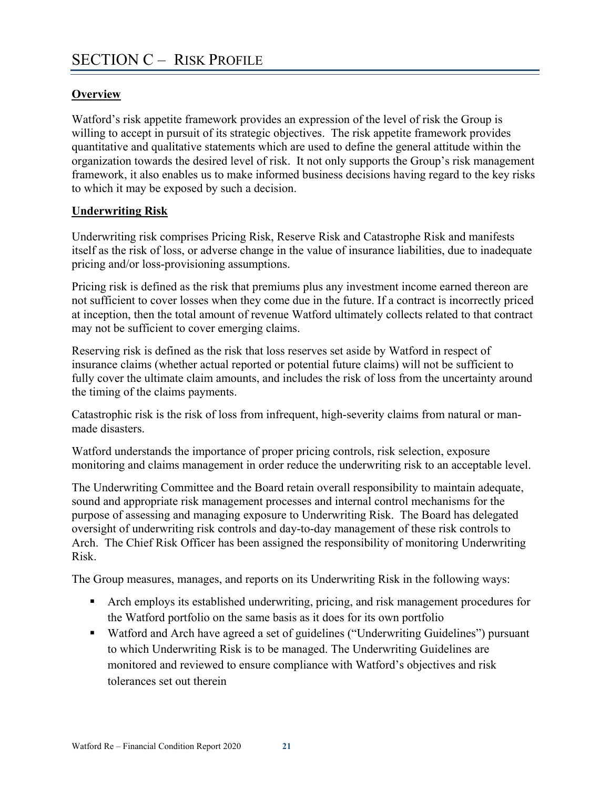## **Overview**

Watford's risk appetite framework provides an expression of the level of risk the Group is willing to accept in pursuit of its strategic objectives. The risk appetite framework provides quantitative and qualitative statements which are used to define the general attitude within the organization towards the desired level of risk. It not only supports the Group's risk management framework, it also enables us to make informed business decisions having regard to the key risks to which it may be exposed by such a decision.

## **Underwriting Risk**

Underwriting risk comprises Pricing Risk, Reserve Risk and Catastrophe Risk and manifests itself as the risk of loss, or adverse change in the value of insurance liabilities, due to inadequate pricing and/or loss-provisioning assumptions.

Pricing risk is defined as the risk that premiums plus any investment income earned thereon are not sufficient to cover losses when they come due in the future. If a contract is incorrectly priced at inception, then the total amount of revenue Watford ultimately collects related to that contract may not be sufficient to cover emerging claims.

Reserving risk is defined as the risk that loss reserves set aside by Watford in respect of insurance claims (whether actual reported or potential future claims) will not be sufficient to fully cover the ultimate claim amounts, and includes the risk of loss from the uncertainty around the timing of the claims payments.

Catastrophic risk is the risk of loss from infrequent, high-severity claims from natural or manmade disasters.

Watford understands the importance of proper pricing controls, risk selection, exposure monitoring and claims management in order reduce the underwriting risk to an acceptable level.

The Underwriting Committee and the Board retain overall responsibility to maintain adequate, sound and appropriate risk management processes and internal control mechanisms for the purpose of assessing and managing exposure to Underwriting Risk. The Board has delegated oversight of underwriting risk controls and day-to-day management of these risk controls to Arch. The Chief Risk Officer has been assigned the responsibility of monitoring Underwriting Risk.

The Group measures, manages, and reports on its Underwriting Risk in the following ways:

- Arch employs its established underwriting, pricing, and risk management procedures for the Watford portfolio on the same basis as it does for its own portfolio
- Watford and Arch have agreed a set of guidelines ("Underwriting Guidelines") pursuant to which Underwriting Risk is to be managed. The Underwriting Guidelines are monitored and reviewed to ensure compliance with Watford's objectives and risk tolerances set out therein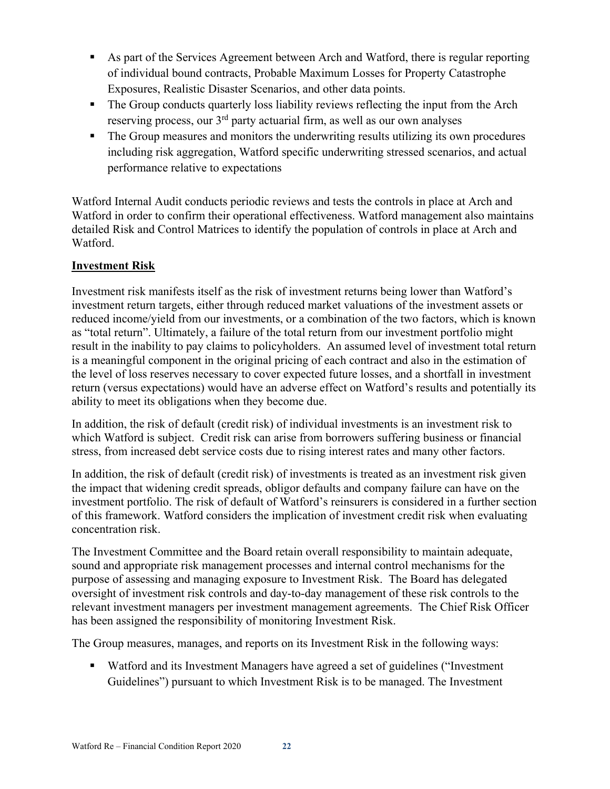- As part of the Services Agreement between Arch and Watford, there is regular reporting of individual bound contracts, Probable Maximum Losses for Property Catastrophe Exposures, Realistic Disaster Scenarios, and other data points.
- The Group conducts quarterly loss liability reviews reflecting the input from the Arch reserving process, our 3rd party actuarial firm, as well as our own analyses
- The Group measures and monitors the underwriting results utilizing its own procedures including risk aggregation, Watford specific underwriting stressed scenarios, and actual performance relative to expectations

Watford Internal Audit conducts periodic reviews and tests the controls in place at Arch and Watford in order to confirm their operational effectiveness. Watford management also maintains detailed Risk and Control Matrices to identify the population of controls in place at Arch and Watford.

## **Investment Risk**

Investment risk manifests itself as the risk of investment returns being lower than Watford's investment return targets, either through reduced market valuations of the investment assets or reduced income/yield from our investments, or a combination of the two factors, which is known as "total return". Ultimately, a failure of the total return from our investment portfolio might result in the inability to pay claims to policyholders. An assumed level of investment total return is a meaningful component in the original pricing of each contract and also in the estimation of the level of loss reserves necessary to cover expected future losses, and a shortfall in investment return (versus expectations) would have an adverse effect on Watford's results and potentially its ability to meet its obligations when they become due.

In addition, the risk of default (credit risk) of individual investments is an investment risk to which Watford is subject. Credit risk can arise from borrowers suffering business or financial stress, from increased debt service costs due to rising interest rates and many other factors.

In addition, the risk of default (credit risk) of investments is treated as an investment risk given the impact that widening credit spreads, obligor defaults and company failure can have on the investment portfolio. The risk of default of Watford's reinsurers is considered in a further section of this framework. Watford considers the implication of investment credit risk when evaluating concentration risk.

The Investment Committee and the Board retain overall responsibility to maintain adequate, sound and appropriate risk management processes and internal control mechanisms for the purpose of assessing and managing exposure to Investment Risk. The Board has delegated oversight of investment risk controls and day-to-day management of these risk controls to the relevant investment managers per investment management agreements. The Chief Risk Officer has been assigned the responsibility of monitoring Investment Risk.

The Group measures, manages, and reports on its Investment Risk in the following ways:

 Watford and its Investment Managers have agreed a set of guidelines ("Investment Guidelines") pursuant to which Investment Risk is to be managed. The Investment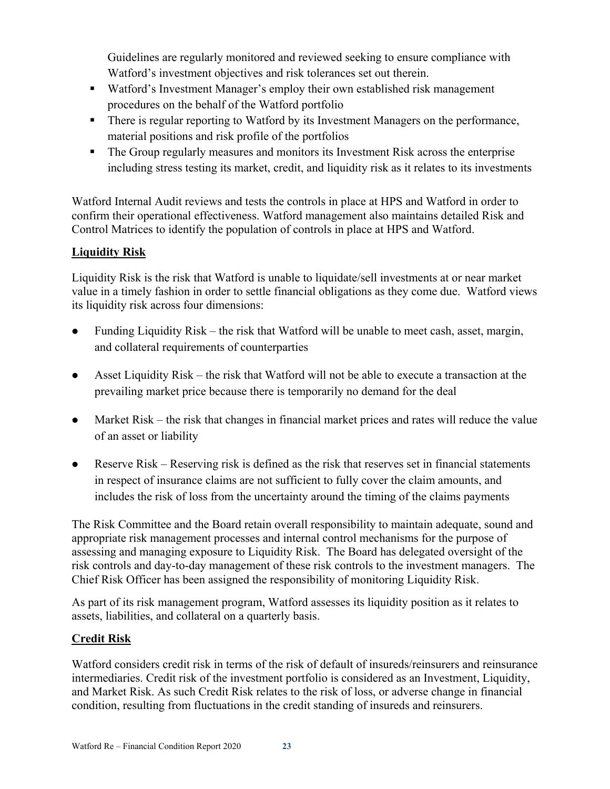Guidelines are regularly monitored and reviewed seeking to ensure compliance with Watford's investment objectives and risk tolerances set out therein.

- Watford's Investment Manager's employ their own established risk management procedures on the behalf of the Watford portfolio
- There is regular reporting to Watford by its Investment Managers on the performance, material positions and risk profile of the portfolios
- The Group regularly measures and monitors its Investment Risk across the enterprise including stress testing its market, credit, and liquidity risk as it relates to its investments

Watford Internal Audit reviews and tests the controls in place at HPS and Watford in order to confirm their operational effectiveness. Watford management also maintains detailed Risk and Control Matrices to identify the population of controls in place at HPS and Watford.

## **Liquidity Risk**

Liquidity Risk is the risk that Watford is unable to liquidate/sell investments at or near market value in a timely fashion in order to settle financial obligations as they come due. Watford views its liquidity risk across four dimensions:

- Funding Liquidity Risk the risk that Watford will be unable to meet cash, asset, margin, and collateral requirements of counterparties
- Asset Liquidity Risk the risk that Watford will not be able to execute a transaction at the prevailing market price because there is temporarily no demand for the deal
- Market Risk the risk that changes in financial market prices and rates will reduce the value of an asset or liability
- Reserve Risk Reserving risk is defined as the risk that reserves set in financial statements in respect of insurance claims are not sufficient to fully cover the claim amounts, and includes the risk of loss from the uncertainty around the timing of the claims payments

The Risk Committee and the Board retain overall responsibility to maintain adequate, sound and appropriate risk management processes and internal control mechanisms for the purpose of assessing and managing exposure to Liquidity Risk. The Board has delegated oversight of the risk controls and day-to-day management of these risk controls to the investment managers. The Chief Risk Officer has been assigned the responsibility of monitoring Liquidity Risk.

As part of its risk management program, Watford assesses its liquidity position as it relates to assets, liabilities, and collateral on a quarterly basis.

## **Credit Risk**

Watford considers credit risk in terms of the risk of default of insureds/reinsurers and reinsurance intermediaries. Credit risk of the investment portfolio is considered as an Investment, Liquidity, and Market Risk. As such Credit Risk relates to the risk of loss, or adverse change in financial condition, resulting from fluctuations in the credit standing of insureds and reinsurers.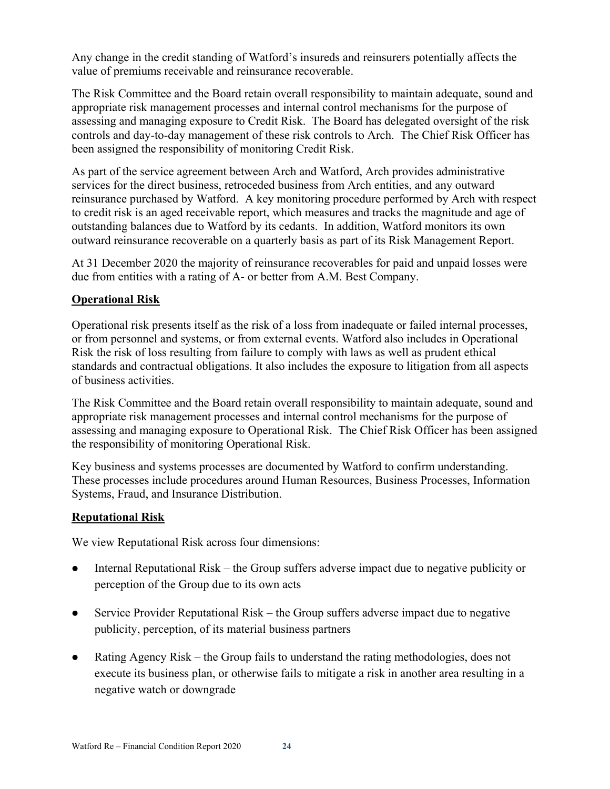Any change in the credit standing of Watford's insureds and reinsurers potentially affects the value of premiums receivable and reinsurance recoverable.

The Risk Committee and the Board retain overall responsibility to maintain adequate, sound and appropriate risk management processes and internal control mechanisms for the purpose of assessing and managing exposure to Credit Risk. The Board has delegated oversight of the risk controls and day-to-day management of these risk controls to Arch. The Chief Risk Officer has been assigned the responsibility of monitoring Credit Risk.

As part of the service agreement between Arch and Watford, Arch provides administrative services for the direct business, retroceded business from Arch entities, and any outward reinsurance purchased by Watford. A key monitoring procedure performed by Arch with respect to credit risk is an aged receivable report, which measures and tracks the magnitude and age of outstanding balances due to Watford by its cedants. In addition, Watford monitors its own outward reinsurance recoverable on a quarterly basis as part of its Risk Management Report.

At 31 December 2020 the majority of reinsurance recoverables for paid and unpaid losses were due from entities with a rating of A- or better from A.M. Best Company.

## **Operational Risk**

Operational risk presents itself as the risk of a loss from inadequate or failed internal processes, or from personnel and systems, or from external events. Watford also includes in Operational Risk the risk of loss resulting from failure to comply with laws as well as prudent ethical standards and contractual obligations. It also includes the exposure to litigation from all aspects of business activities.

The Risk Committee and the Board retain overall responsibility to maintain adequate, sound and appropriate risk management processes and internal control mechanisms for the purpose of assessing and managing exposure to Operational Risk. The Chief Risk Officer has been assigned the responsibility of monitoring Operational Risk.

Key business and systems processes are documented by Watford to confirm understanding. These processes include procedures around Human Resources, Business Processes, Information Systems, Fraud, and Insurance Distribution.

## **Reputational Risk**

We view Reputational Risk across four dimensions:

- Internal Reputational Risk the Group suffers adverse impact due to negative publicity or perception of the Group due to its own acts
- Service Provider Reputational Risk the Group suffers adverse impact due to negative publicity, perception, of its material business partners
- Rating Agency Risk the Group fails to understand the rating methodologies, does not execute its business plan, or otherwise fails to mitigate a risk in another area resulting in a negative watch or downgrade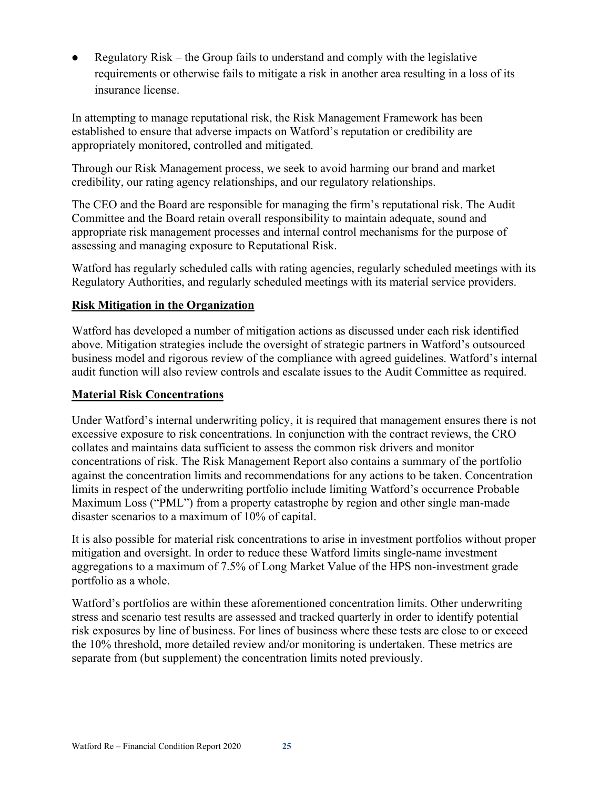Regulatory Risk – the Group fails to understand and comply with the legislative requirements or otherwise fails to mitigate a risk in another area resulting in a loss of its insurance license.

In attempting to manage reputational risk, the Risk Management Framework has been established to ensure that adverse impacts on Watford's reputation or credibility are appropriately monitored, controlled and mitigated.

Through our Risk Management process, we seek to avoid harming our brand and market credibility, our rating agency relationships, and our regulatory relationships.

The CEO and the Board are responsible for managing the firm's reputational risk. The Audit Committee and the Board retain overall responsibility to maintain adequate, sound and appropriate risk management processes and internal control mechanisms for the purpose of assessing and managing exposure to Reputational Risk.

Watford has regularly scheduled calls with rating agencies, regularly scheduled meetings with its Regulatory Authorities, and regularly scheduled meetings with its material service providers.

## **Risk Mitigation in the Organization**

Watford has developed a number of mitigation actions as discussed under each risk identified above. Mitigation strategies include the oversight of strategic partners in Watford's outsourced business model and rigorous review of the compliance with agreed guidelines. Watford's internal audit function will also review controls and escalate issues to the Audit Committee as required.

## **Material Risk Concentrations**

Under Watford's internal underwriting policy, it is required that management ensures there is not excessive exposure to risk concentrations. In conjunction with the contract reviews, the CRO collates and maintains data sufficient to assess the common risk drivers and monitor concentrations of risk. The Risk Management Report also contains a summary of the portfolio against the concentration limits and recommendations for any actions to be taken. Concentration limits in respect of the underwriting portfolio include limiting Watford's occurrence Probable Maximum Loss ("PML") from a property catastrophe by region and other single man-made disaster scenarios to a maximum of 10% of capital.

It is also possible for material risk concentrations to arise in investment portfolios without proper mitigation and oversight. In order to reduce these Watford limits single-name investment aggregations to a maximum of 7.5% of Long Market Value of the HPS non-investment grade portfolio as a whole.

Watford's portfolios are within these aforementioned concentration limits. Other underwriting stress and scenario test results are assessed and tracked quarterly in order to identify potential risk exposures by line of business. For lines of business where these tests are close to or exceed the 10% threshold, more detailed review and/or monitoring is undertaken. These metrics are separate from (but supplement) the concentration limits noted previously.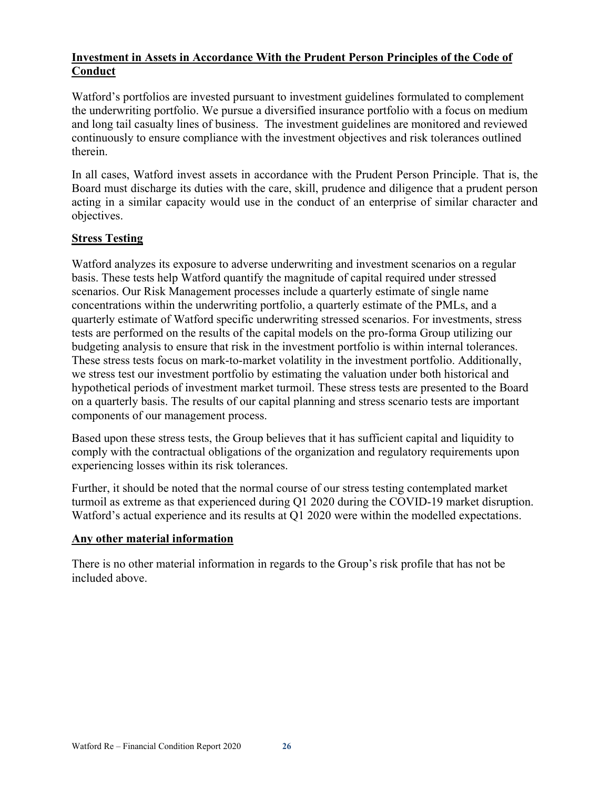## **Investment in Assets in Accordance With the Prudent Person Principles of the Code of Conduct**

Watford's portfolios are invested pursuant to investment guidelines formulated to complement the underwriting portfolio. We pursue a diversified insurance portfolio with a focus on medium and long tail casualty lines of business. The investment guidelines are monitored and reviewed continuously to ensure compliance with the investment objectives and risk tolerances outlined therein.

In all cases, Watford invest assets in accordance with the Prudent Person Principle. That is, the Board must discharge its duties with the care, skill, prudence and diligence that a prudent person acting in a similar capacity would use in the conduct of an enterprise of similar character and objectives.

## **Stress Testing**

Watford analyzes its exposure to adverse underwriting and investment scenarios on a regular basis. These tests help Watford quantify the magnitude of capital required under stressed scenarios. Our Risk Management processes include a quarterly estimate of single name concentrations within the underwriting portfolio, a quarterly estimate of the PMLs, and a quarterly estimate of Watford specific underwriting stressed scenarios. For investments, stress tests are performed on the results of the capital models on the pro-forma Group utilizing our budgeting analysis to ensure that risk in the investment portfolio is within internal tolerances. These stress tests focus on mark-to-market volatility in the investment portfolio. Additionally, we stress test our investment portfolio by estimating the valuation under both historical and hypothetical periods of investment market turmoil. These stress tests are presented to the Board on a quarterly basis. The results of our capital planning and stress scenario tests are important components of our management process.

Based upon these stress tests, the Group believes that it has sufficient capital and liquidity to comply with the contractual obligations of the organization and regulatory requirements upon experiencing losses within its risk tolerances.

Further, it should be noted that the normal course of our stress testing contemplated market turmoil as extreme as that experienced during Q1 2020 during the COVID-19 market disruption. Watford's actual experience and its results at Q1 2020 were within the modelled expectations.

#### **Any other material information**

There is no other material information in regards to the Group's risk profile that has not be included above.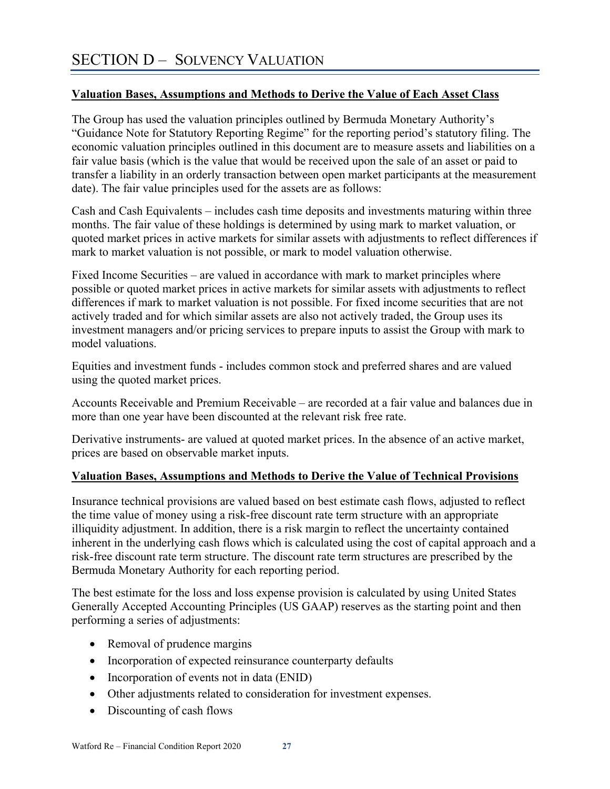## **Valuation Bases, Assumptions and Methods to Derive the Value of Each Asset Class**

The Group has used the valuation principles outlined by Bermuda Monetary Authority's "Guidance Note for Statutory Reporting Regime" for the reporting period's statutory filing. The economic valuation principles outlined in this document are to measure assets and liabilities on a fair value basis (which is the value that would be received upon the sale of an asset or paid to transfer a liability in an orderly transaction between open market participants at the measurement date). The fair value principles used for the assets are as follows:

Cash and Cash Equivalents – includes cash time deposits and investments maturing within three months. The fair value of these holdings is determined by using mark to market valuation, or quoted market prices in active markets for similar assets with adjustments to reflect differences if mark to market valuation is not possible, or mark to model valuation otherwise.

Fixed Income Securities – are valued in accordance with mark to market principles where possible or quoted market prices in active markets for similar assets with adjustments to reflect differences if mark to market valuation is not possible. For fixed income securities that are not actively traded and for which similar assets are also not actively traded, the Group uses its investment managers and/or pricing services to prepare inputs to assist the Group with mark to model valuations.

Equities and investment funds - includes common stock and preferred shares and are valued using the quoted market prices.

Accounts Receivable and Premium Receivable – are recorded at a fair value and balances due in more than one year have been discounted at the relevant risk free rate.

Derivative instruments- are valued at quoted market prices. In the absence of an active market, prices are based on observable market inputs.

#### **Valuation Bases, Assumptions and Methods to Derive the Value of Technical Provisions**

Insurance technical provisions are valued based on best estimate cash flows, adjusted to reflect the time value of money using a risk-free discount rate term structure with an appropriate illiquidity adjustment. In addition, there is a risk margin to reflect the uncertainty contained inherent in the underlying cash flows which is calculated using the cost of capital approach and a risk-free discount rate term structure. The discount rate term structures are prescribed by the Bermuda Monetary Authority for each reporting period.

The best estimate for the loss and loss expense provision is calculated by using United States Generally Accepted Accounting Principles (US GAAP) reserves as the starting point and then performing a series of adjustments:

- Removal of prudence margins
- Incorporation of expected reinsurance counterparty defaults
- Incorporation of events not in data (ENID)
- Other adjustments related to consideration for investment expenses.
- Discounting of cash flows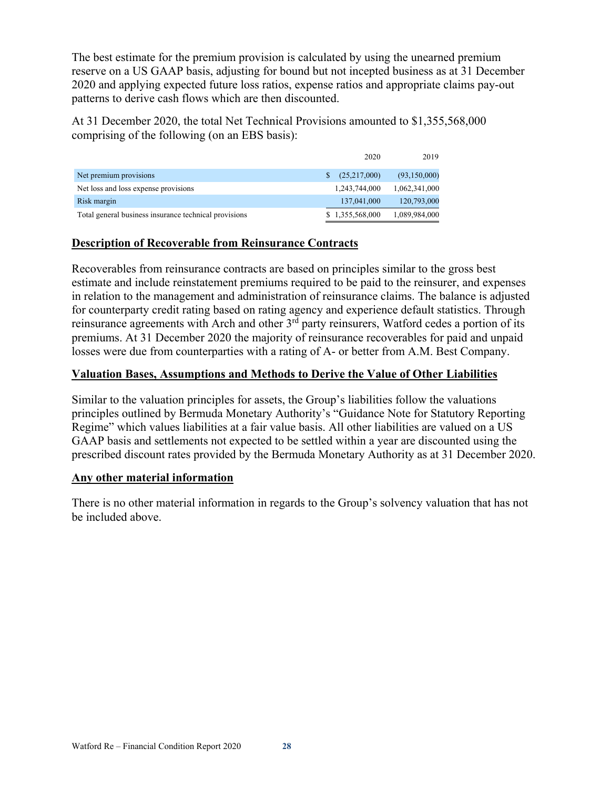The best estimate for the premium provision is calculated by using the unearned premium reserve on a US GAAP basis, adjusting for bound but not incepted business as at 31 December 2020 and applying expected future loss ratios, expense ratios and appropriate claims pay-out patterns to derive cash flows which are then discounted.

At 31 December 2020, the total Net Technical Provisions amounted to \$1,355,568,000 comprising of the following (on an EBS basis):

|                                                       | 2020            | 2019          |
|-------------------------------------------------------|-----------------|---------------|
| Net premium provisions                                | (25,217,000)    | (93,150,000)  |
| Net loss and loss expense provisions                  | 1,243,744,000   | 1,062,341,000 |
| Risk margin                                           | 137,041,000     | 120,793,000   |
| Total general business insurance technical provisions | \$1,355,568,000 | 1,089,984,000 |

## **Description of Recoverable from Reinsurance Contracts**

Recoverables from reinsurance contracts are based on principles similar to the gross best estimate and include reinstatement premiums required to be paid to the reinsurer, and expenses in relation to the management and administration of reinsurance claims. The balance is adjusted for counterparty credit rating based on rating agency and experience default statistics. Through reinsurance agreements with Arch and other 3<sup>rd</sup> party reinsurers, Watford cedes a portion of its premiums. At 31 December 2020 the majority of reinsurance recoverables for paid and unpaid losses were due from counterparties with a rating of A- or better from A.M. Best Company.

## **Valuation Bases, Assumptions and Methods to Derive the Value of Other Liabilities**

Similar to the valuation principles for assets, the Group's liabilities follow the valuations principles outlined by Bermuda Monetary Authority's "Guidance Note for Statutory Reporting Regime" which values liabilities at a fair value basis. All other liabilities are valued on a US GAAP basis and settlements not expected to be settled within a year are discounted using the prescribed discount rates provided by the Bermuda Monetary Authority as at 31 December 2020.

## **Any other material information**

There is no other material information in regards to the Group's solvency valuation that has not be included above.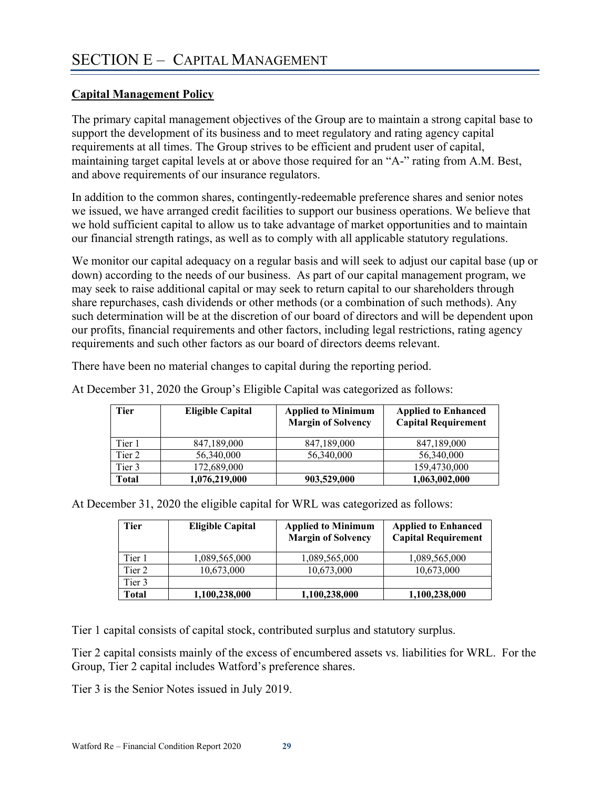## **Capital Management Policy**

The primary capital management objectives of the Group are to maintain a strong capital base to support the development of its business and to meet regulatory and rating agency capital requirements at all times. The Group strives to be efficient and prudent user of capital, maintaining target capital levels at or above those required for an "A-" rating from A.M. Best, and above requirements of our insurance regulators.

In addition to the common shares, contingently-redeemable preference shares and senior notes we issued, we have arranged credit facilities to support our business operations. We believe that we hold sufficient capital to allow us to take advantage of market opportunities and to maintain our financial strength ratings, as well as to comply with all applicable statutory regulations.

We monitor our capital adequacy on a regular basis and will seek to adjust our capital base (up or down) according to the needs of our business. As part of our capital management program, we may seek to raise additional capital or may seek to return capital to our shareholders through share repurchases, cash dividends or other methods (or a combination of such methods). Any such determination will be at the discretion of our board of directors and will be dependent upon our profits, financial requirements and other factors, including legal restrictions, rating agency requirements and such other factors as our board of directors deems relevant.

There have been no material changes to capital during the reporting period.

| Tier   | <b>Eligible Capital</b> | <b>Applied to Minimum</b><br><b>Margin of Solvency</b> | <b>Applied to Enhanced</b><br><b>Capital Requirement</b> |
|--------|-------------------------|--------------------------------------------------------|----------------------------------------------------------|
| Tier 1 | 847,189,000             | 847,189,000                                            | 847,189,000                                              |
| Tier 2 | 56,340,000              | 56,340,000                                             | 56,340,000                                               |
| Tier 3 | 172,689,000             |                                                        | 159,4730,000                                             |
| Total  | 1,076,219,000           | 903,529,000                                            | 1,063,002,000                                            |

At December 31, 2020 the Group's Eligible Capital was categorized as follows:

At December 31, 2020 the eligible capital for WRL was categorized as follows:

| Tier   | <b>Eligible Capital</b> | <b>Applied to Minimum</b><br><b>Margin of Solvency</b> | <b>Applied to Enhanced</b><br><b>Capital Requirement</b> |
|--------|-------------------------|--------------------------------------------------------|----------------------------------------------------------|
| Tier 1 | 1,089,565,000           | 1,089,565,000                                          | 1,089,565,000                                            |
| Tier 2 | 10,673,000              | 10,673,000                                             | 10,673,000                                               |
| Tier 3 |                         |                                                        |                                                          |
| Total  | 1,100,238,000           | 1,100,238,000                                          | 1,100,238,000                                            |

Tier 1 capital consists of capital stock, contributed surplus and statutory surplus.

Tier 2 capital consists mainly of the excess of encumbered assets vs. liabilities for WRL. For the Group, Tier 2 capital includes Watford's preference shares.

Tier 3 is the Senior Notes issued in July 2019.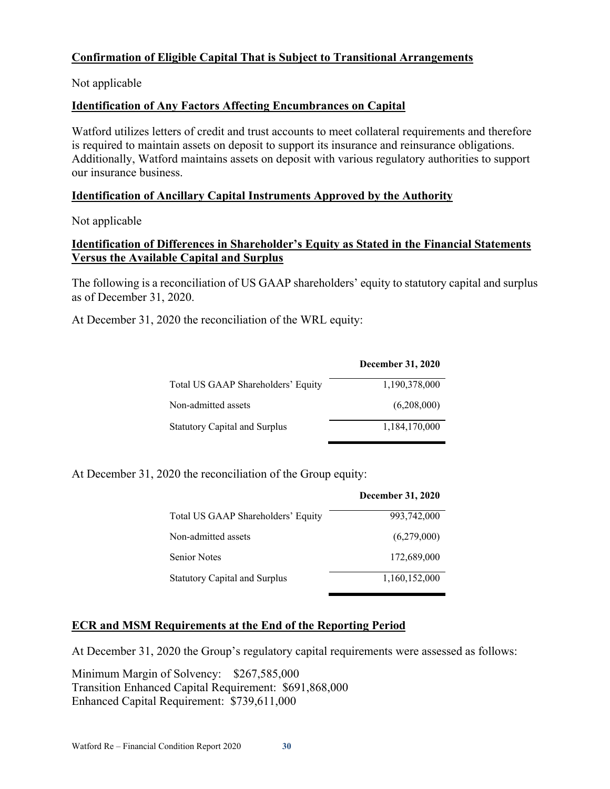## **Confirmation of Eligible Capital That is Subject to Transitional Arrangements**

Not applicable

## **Identification of Any Factors Affecting Encumbrances on Capital**

Watford utilizes letters of credit and trust accounts to meet collateral requirements and therefore is required to maintain assets on deposit to support its insurance and reinsurance obligations. Additionally, Watford maintains assets on deposit with various regulatory authorities to support our insurance business.

#### **Identification of Ancillary Capital Instruments Approved by the Authority**

Not applicable

## **Identification of Differences in Shareholder's Equity as Stated in the Financial Statements Versus the Available Capital and Surplus**

The following is a reconciliation of US GAAP shareholders' equity to statutory capital and surplus as of December 31, 2020.

At December 31, 2020 the reconciliation of the WRL equity:

|                                      | <b>December 31, 2020</b> |
|--------------------------------------|--------------------------|
| Total US GAAP Shareholders' Equity   | 1,190,378,000            |
| Non-admitted assets                  | (6,208,000)              |
| <b>Statutory Capital and Surplus</b> | 1,184,170,000            |

At December 31, 2020 the reconciliation of the Group equity:

|                                      | <b>December 31, 2020</b> |
|--------------------------------------|--------------------------|
| Total US GAAP Shareholders' Equity   | 993,742,000              |
| Non-admitted assets                  | (6,279,000)              |
| <b>Senior Notes</b>                  | 172,689,000              |
| <b>Statutory Capital and Surplus</b> | 1,160,152,000            |

#### **ECR and MSM Requirements at the End of the Reporting Period**

At December 31, 2020 the Group's regulatory capital requirements were assessed as follows:

Minimum Margin of Solvency: \$267,585,000 Transition Enhanced Capital Requirement: \$691,868,000 Enhanced Capital Requirement: \$739,611,000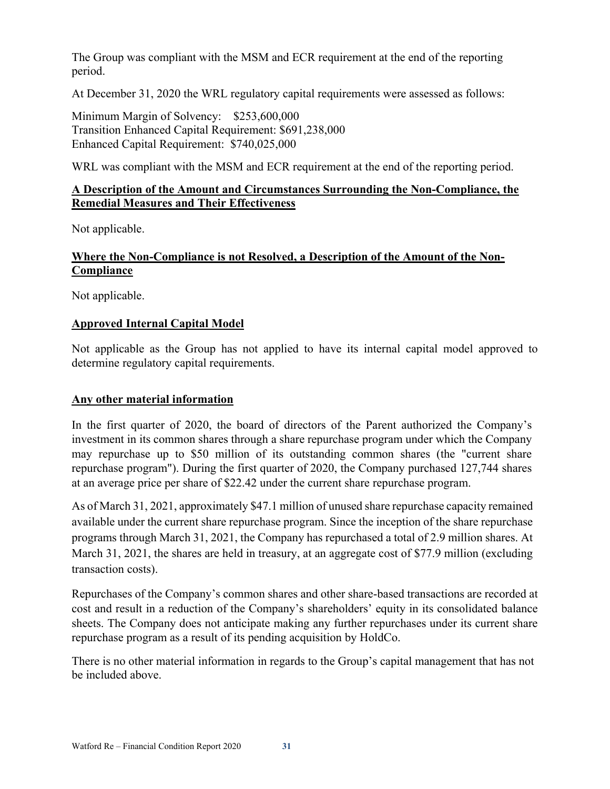The Group was compliant with the MSM and ECR requirement at the end of the reporting period.

At December 31, 2020 the WRL regulatory capital requirements were assessed as follows:

Minimum Margin of Solvency: \$253,600,000 Transition Enhanced Capital Requirement: \$691,238,000 Enhanced Capital Requirement: \$740,025,000

WRL was compliant with the MSM and ECR requirement at the end of the reporting period.

## **A Description of the Amount and Circumstances Surrounding the Non-Compliance, the Remedial Measures and Their Effectiveness**

Not applicable.

## **Where the Non-Compliance is not Resolved, a Description of the Amount of the Non-Compliance**

Not applicable.

## **Approved Internal Capital Model**

Not applicable as the Group has not applied to have its internal capital model approved to determine regulatory capital requirements.

## **Any other material information**

In the first quarter of 2020, the board of directors of the Parent authorized the Company's investment in its common shares through a share repurchase program under which the Company may repurchase up to \$50 million of its outstanding common shares (the "current share repurchase program"). During the first quarter of 2020, the Company purchased 127,744 shares at an average price per share of \$22.42 under the current share repurchase program.

As of March 31, 2021, approximately \$47.1 million of unused share repurchase capacity remained available under the current share repurchase program. Since the inception of the share repurchase programs through March 31, 2021, the Company has repurchased a total of 2.9 million shares. At March 31, 2021, the shares are held in treasury, at an aggregate cost of \$77.9 million (excluding transaction costs).

Repurchases of the Company's common shares and other share-based transactions are recorded at cost and result in a reduction of the Company's shareholders' equity in its consolidated balance sheets. The Company does not anticipate making any further repurchases under its current share repurchase program as a result of its pending acquisition by HoldCo.

There is no other material information in regards to the Group's capital management that has not be included above.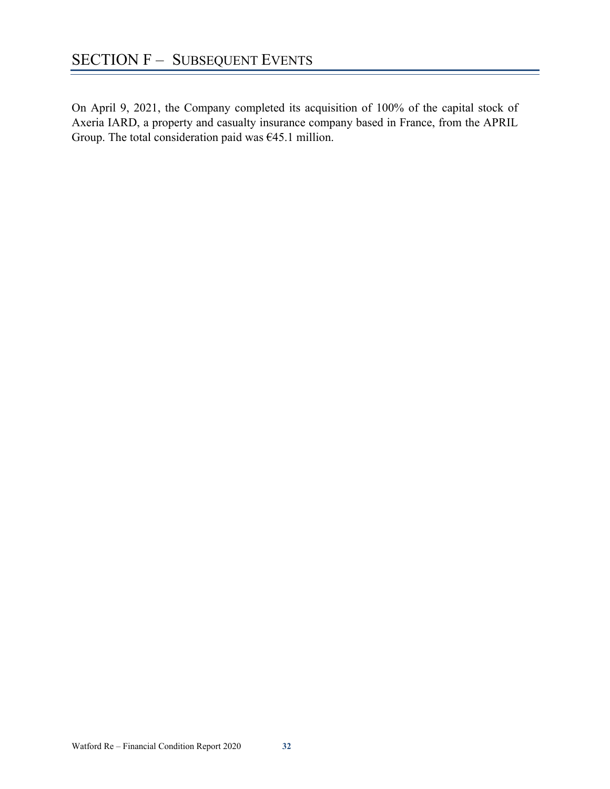On April 9, 2021, the Company completed its acquisition of 100% of the capital stock of Axeria IARD, a property and casualty insurance company based in France, from the APRIL Group. The total consideration paid was €45.1 million.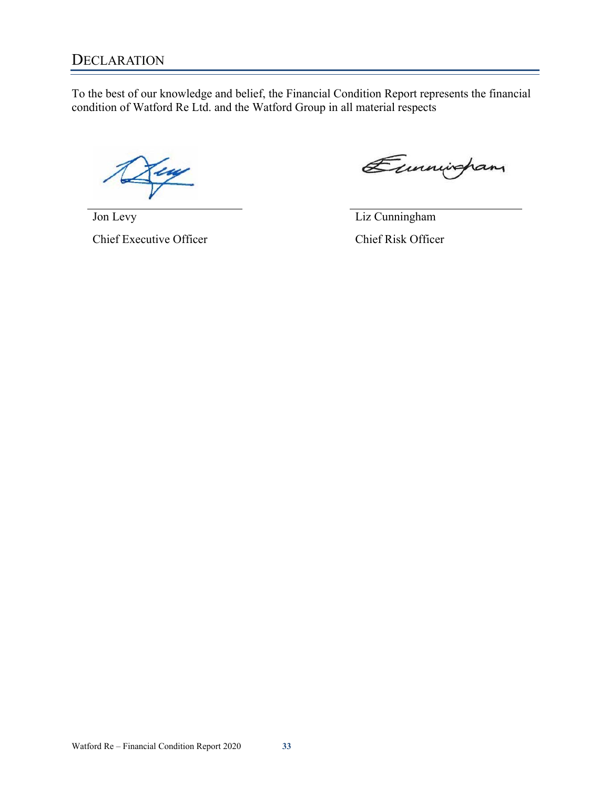## **DECLARATION**

To the best of our knowledge and belief, the Financial Condition Report represents the financial condition of Watford Re Ltd. and the Watford Group in all material respects

Eunningham

Jon Levy

Chief Executive Officer

Liz Cunningham

Chief Risk Officer